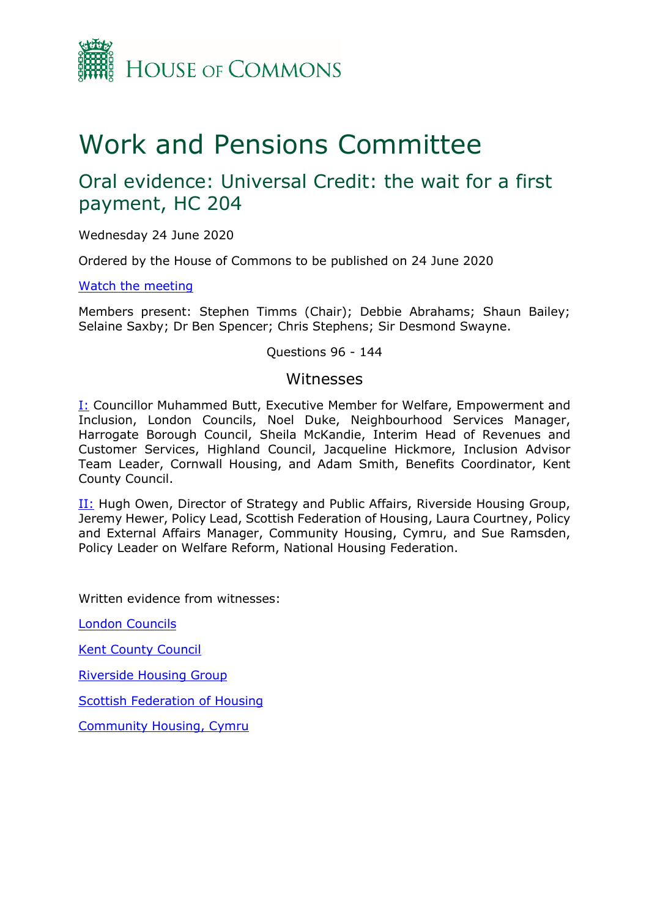

# Work and Pensions Committee

# Oral evidence: Universal Credit: the wait for a first payment, HC 204

Wednesday 24 June 2020

Ordered by the House of Commons to be published on 24 June 2020

[Watch the meeting](https://parliamentlive.tv/event/index/4479c552-0d8a-4bfc-b37c-80e356401a07?in=09:31:25)

Members present: Stephen Timms (Chair); Debbie Abrahams; Shaun Bailey; Selaine Saxby; Dr Ben Spencer; Chris Stephens; Sir Desmond Swayne.

Questions 96 - 144

#### Witnesses

[I:](#page-1-0) Councillor Muhammed Butt, Executive Member for Welfare, Empowerment and Inclusion, London Councils, Noel Duke, Neighbourhood Services Manager, Harrogate Borough Council, Sheila McKandie, Interim Head of Revenues and Customer Services, Highland Council, Jacqueline Hickmore, Inclusion Advisor Team Leader, Cornwall Housing, and Adam Smith, Benefits Coordinator, Kent County Council.

**[II:](#page-20-0)** Hugh Owen, Director of Strategy and Public Affairs, Riverside Housing Group, Jeremy Hewer, Policy Lead, Scottish Federation of Housing, Laura Courtney, Policy and External Affairs Manager, Community Housing, Cymru, and Sue Ramsden, Policy Leader on Welfare Reform, National Housing Federation.

Written evidence from witnesses:

[London Councils](https://committees.parliament.uk/writtenevidence/1851/html/)

[Kent County Council](https://committees.parliament.uk/writtenevidence/783/html/)

[Riverside Housing Group](https://committees.parliament.uk/writtenevidence/1880/html/)

[Scottish Federation of Housing](https://committees.parliament.uk/writtenevidence/1886/html/)

[Community Housing, Cymru](https://committees.parliament.uk/writtenevidence/1936/html/)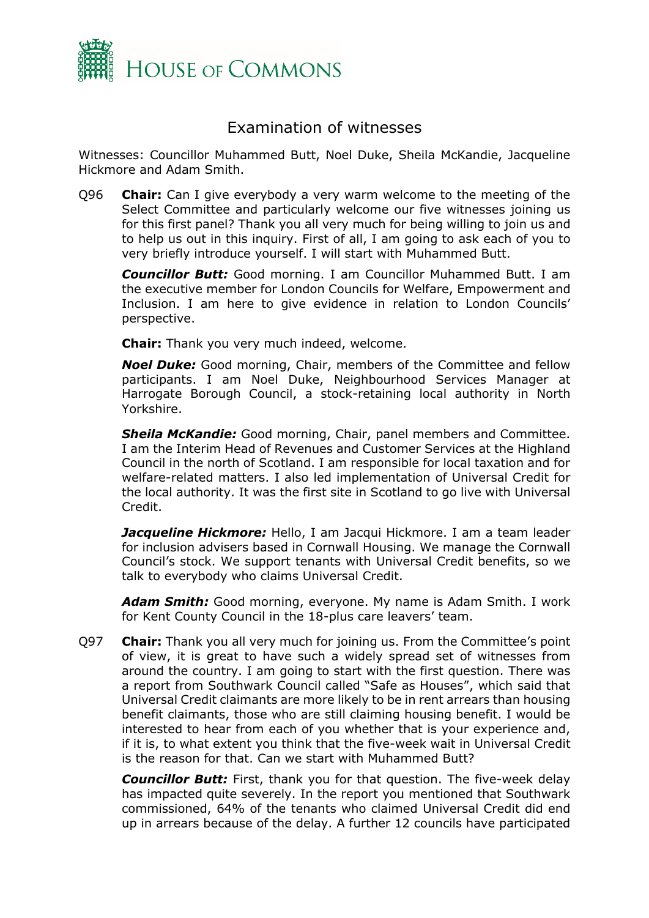

## Examination of witnesses

<span id="page-1-0"></span>Witnesses: Councillor Muhammed Butt, Noel Duke, Sheila McKandie, Jacqueline Hickmore and Adam Smith.

Q96 **Chair:** Can I give everybody a very warm welcome to the meeting of the Select Committee and particularly welcome our five witnesses joining us for this first panel? Thank you all very much for being willing to join us and to help us out in this inquiry. First of all, I am going to ask each of you to very briefly introduce yourself. I will start with Muhammed Butt.

*Councillor Butt:* Good morning. I am Councillor Muhammed Butt. I am the executive member for London Councils for Welfare, Empowerment and Inclusion. I am here to give evidence in relation to London Councils' perspective.

**Chair:** Thank you very much indeed, welcome.

*Noel Duke:* Good morning, Chair, members of the Committee and fellow participants. I am Noel Duke, Neighbourhood Services Manager at Harrogate Borough Council, a stock-retaining local authority in North Yorkshire.

*Sheila McKandie:* Good morning, Chair, panel members and Committee. I am the Interim Head of Revenues and Customer Services at the Highland Council in the north of Scotland. I am responsible for local taxation and for welfare-related matters. I also led implementation of Universal Credit for the local authority. It was the first site in Scotland to go live with Universal Credit.

*Jacqueline Hickmore:* Hello, I am Jacqui Hickmore. I am a team leader for inclusion advisers based in Cornwall Housing. We manage the Cornwall Council's stock. We support tenants with Universal Credit benefits, so we talk to everybody who claims Universal Credit.

*Adam Smith:* Good morning, everyone. My name is Adam Smith. I work for Kent County Council in the 18-plus care leavers' team.

Q97 **Chair:** Thank you all very much for joining us. From the Committee's point of view, it is great to have such a widely spread set of witnesses from around the country. I am going to start with the first question. There was a report from Southwark Council called "Safe as Houses", which said that Universal Credit claimants are more likely to be in rent arrears than housing benefit claimants, those who are still claiming housing benefit. I would be interested to hear from each of you whether that is your experience and, if it is, to what extent you think that the five-week wait in Universal Credit is the reason for that. Can we start with Muhammed Butt?

*Councillor Butt:* First, thank you for that question. The five-week delay has impacted quite severely. In the report you mentioned that Southwark commissioned, 64% of the tenants who claimed Universal Credit did end up in arrears because of the delay. A further 12 councils have participated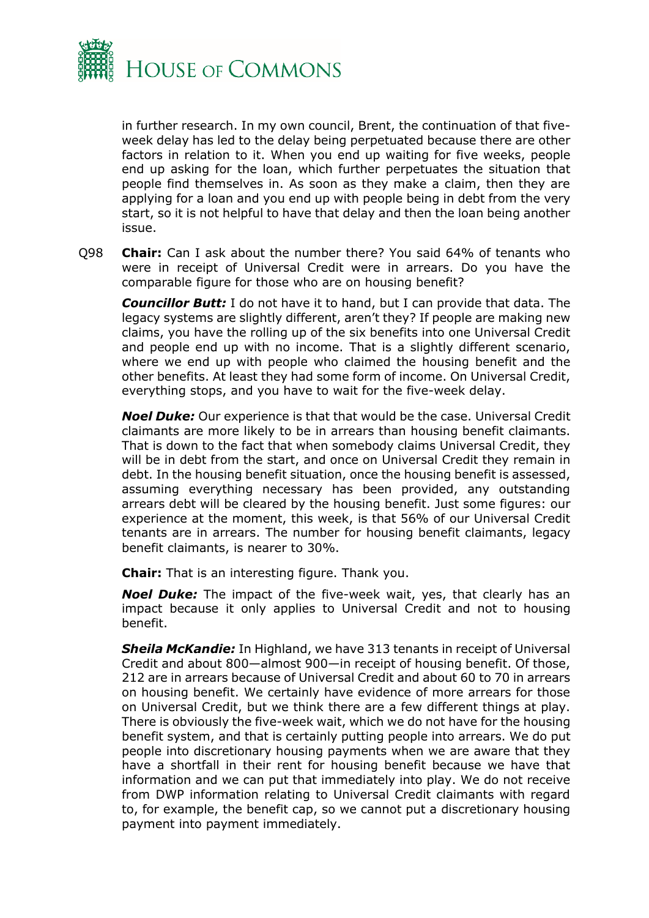

in further research. In my own council, Brent, the continuation of that fiveweek delay has led to the delay being perpetuated because there are other factors in relation to it. When you end up waiting for five weeks, people end up asking for the loan, which further perpetuates the situation that people find themselves in. As soon as they make a claim, then they are applying for a loan and you end up with people being in debt from the very start, so it is not helpful to have that delay and then the loan being another issue.

Q98 **Chair:** Can I ask about the number there? You said 64% of tenants who were in receipt of Universal Credit were in arrears. Do you have the comparable figure for those who are on housing benefit?

*Councillor Butt:* I do not have it to hand, but I can provide that data. The legacy systems are slightly different, aren't they? If people are making new claims, you have the rolling up of the six benefits into one Universal Credit and people end up with no income. That is a slightly different scenario, where we end up with people who claimed the housing benefit and the other benefits. At least they had some form of income. On Universal Credit, everything stops, and you have to wait for the five-week delay.

*Noel Duke:* Our experience is that that would be the case. Universal Credit claimants are more likely to be in arrears than housing benefit claimants. That is down to the fact that when somebody claims Universal Credit, they will be in debt from the start, and once on Universal Credit they remain in debt. In the housing benefit situation, once the housing benefit is assessed, assuming everything necessary has been provided, any outstanding arrears debt will be cleared by the housing benefit. Just some figures: our experience at the moment, this week, is that 56% of our Universal Credit tenants are in arrears. The number for housing benefit claimants, legacy benefit claimants, is nearer to 30%.

**Chair:** That is an interesting figure. Thank you.

*Noel Duke:* The impact of the five-week wait, yes, that clearly has an impact because it only applies to Universal Credit and not to housing benefit.

*Sheila McKandie:* In Highland, we have 313 tenants in receipt of Universal Credit and about 800—almost 900—in receipt of housing benefit. Of those, 212 are in arrears because of Universal Credit and about 60 to 70 in arrears on housing benefit. We certainly have evidence of more arrears for those on Universal Credit, but we think there are a few different things at play. There is obviously the five-week wait, which we do not have for the housing benefit system, and that is certainly putting people into arrears. We do put people into discretionary housing payments when we are aware that they have a shortfall in their rent for housing benefit because we have that information and we can put that immediately into play. We do not receive from DWP information relating to Universal Credit claimants with regard to, for example, the benefit cap, so we cannot put a discretionary housing payment into payment immediately.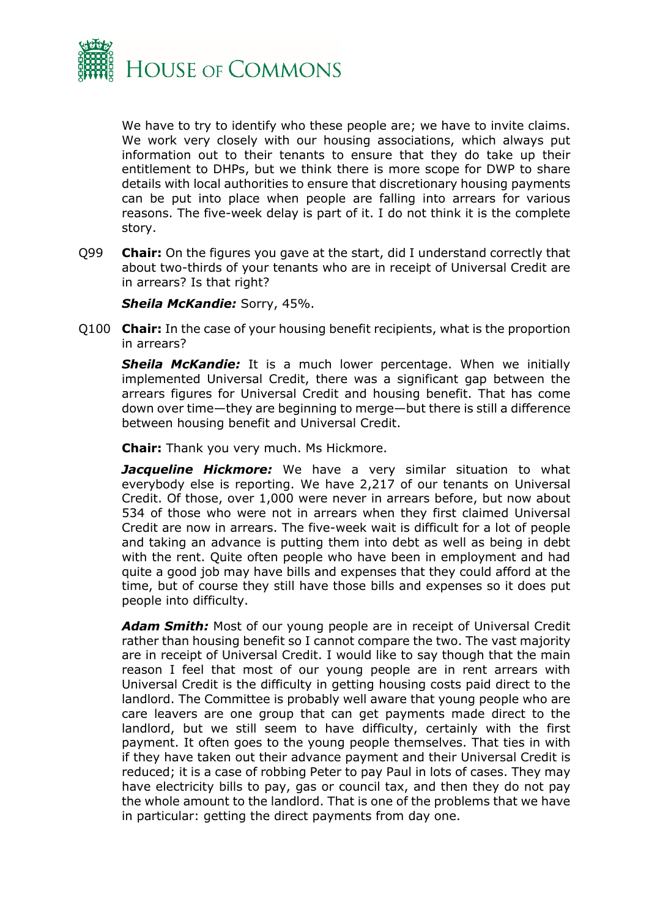

We have to try to identify who these people are; we have to invite claims. We work very closely with our housing associations, which always put information out to their tenants to ensure that they do take up their entitlement to DHPs, but we think there is more scope for DWP to share details with local authorities to ensure that discretionary housing payments can be put into place when people are falling into arrears for various reasons. The five-week delay is part of it. I do not think it is the complete story.

Q99 **Chair:** On the figures you gave at the start, did I understand correctly that about two-thirds of your tenants who are in receipt of Universal Credit are in arrears? Is that right?

#### *Sheila McKandie:* Sorry, 45%.

Q100 **Chair:** In the case of your housing benefit recipients, what is the proportion in arrears?

**Sheila McKandie:** It is a much lower percentage. When we initially implemented Universal Credit, there was a significant gap between the arrears figures for Universal Credit and housing benefit. That has come down over time—they are beginning to merge—but there is still a difference between housing benefit and Universal Credit.

**Chair:** Thank you very much. Ms Hickmore.

**Jacqueline Hickmore:** We have a very similar situation to what everybody else is reporting. We have 2,217 of our tenants on Universal Credit. Of those, over 1,000 were never in arrears before, but now about 534 of those who were not in arrears when they first claimed Universal Credit are now in arrears. The five-week wait is difficult for a lot of people and taking an advance is putting them into debt as well as being in debt with the rent. Quite often people who have been in employment and had quite a good job may have bills and expenses that they could afford at the time, but of course they still have those bills and expenses so it does put people into difficulty.

*Adam Smith:* Most of our young people are in receipt of Universal Credit rather than housing benefit so I cannot compare the two. The vast majority are in receipt of Universal Credit. I would like to say though that the main reason I feel that most of our young people are in rent arrears with Universal Credit is the difficulty in getting housing costs paid direct to the landlord. The Committee is probably well aware that young people who are care leavers are one group that can get payments made direct to the landlord, but we still seem to have difficulty, certainly with the first payment. It often goes to the young people themselves. That ties in with if they have taken out their advance payment and their Universal Credit is reduced; it is a case of robbing Peter to pay Paul in lots of cases. They may have electricity bills to pay, gas or council tax, and then they do not pay the whole amount to the landlord. That is one of the problems that we have in particular: getting the direct payments from day one.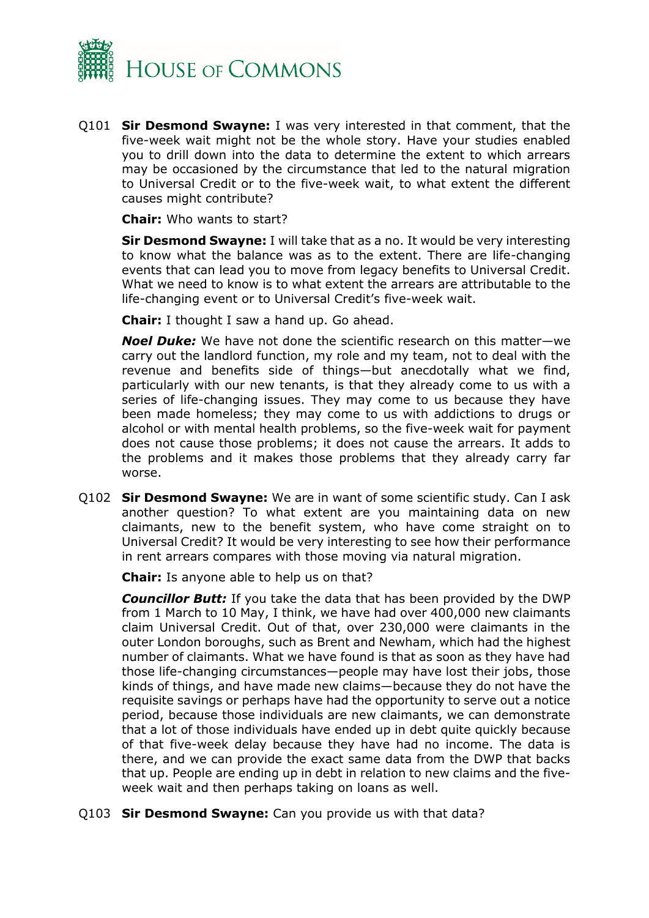

Q101 **Sir Desmond Swayne:** I was very interested in that comment, that the five-week wait might not be the whole story. Have your studies enabled you to drill down into the data to determine the extent to which arrears may be occasioned by the circumstance that led to the natural migration to Universal Credit or to the five-week wait, to what extent the different causes might contribute?

**Chair:** Who wants to start?

**Sir Desmond Swayne:** I will take that as a no. It would be very interesting to know what the balance was as to the extent. There are life-changing events that can lead you to move from legacy benefits to Universal Credit. What we need to know is to what extent the arrears are attributable to the life-changing event or to Universal Credit's five-week wait.

**Chair:** I thought I saw a hand up. Go ahead.

*Noel Duke:* We have not done the scientific research on this matter—we carry out the landlord function, my role and my team, not to deal with the revenue and benefits side of things—but anecdotally what we find, particularly with our new tenants, is that they already come to us with a series of life-changing issues. They may come to us because they have been made homeless; they may come to us with addictions to drugs or alcohol or with mental health problems, so the five-week wait for payment does not cause those problems; it does not cause the arrears. It adds to the problems and it makes those problems that they already carry far worse.

Q102 **Sir Desmond Swayne:** We are in want of some scientific study. Can I ask another question? To what extent are you maintaining data on new claimants, new to the benefit system, who have come straight on to Universal Credit? It would be very interesting to see how their performance in rent arrears compares with those moving via natural migration.

**Chair:** Is anyone able to help us on that?

*Councillor Butt:* If you take the data that has been provided by the DWP from 1 March to 10 May, I think, we have had over 400,000 new claimants claim Universal Credit. Out of that, over 230,000 were claimants in the outer London boroughs, such as Brent and Newham, which had the highest number of claimants. What we have found is that as soon as they have had those life-changing circumstances—people may have lost their jobs, those kinds of things, and have made new claims—because they do not have the requisite savings or perhaps have had the opportunity to serve out a notice period, because those individuals are new claimants, we can demonstrate that a lot of those individuals have ended up in debt quite quickly because of that five-week delay because they have had no income. The data is there, and we can provide the exact same data from the DWP that backs that up. People are ending up in debt in relation to new claims and the fiveweek wait and then perhaps taking on loans as well.

Q103 **Sir Desmond Swayne:** Can you provide us with that data?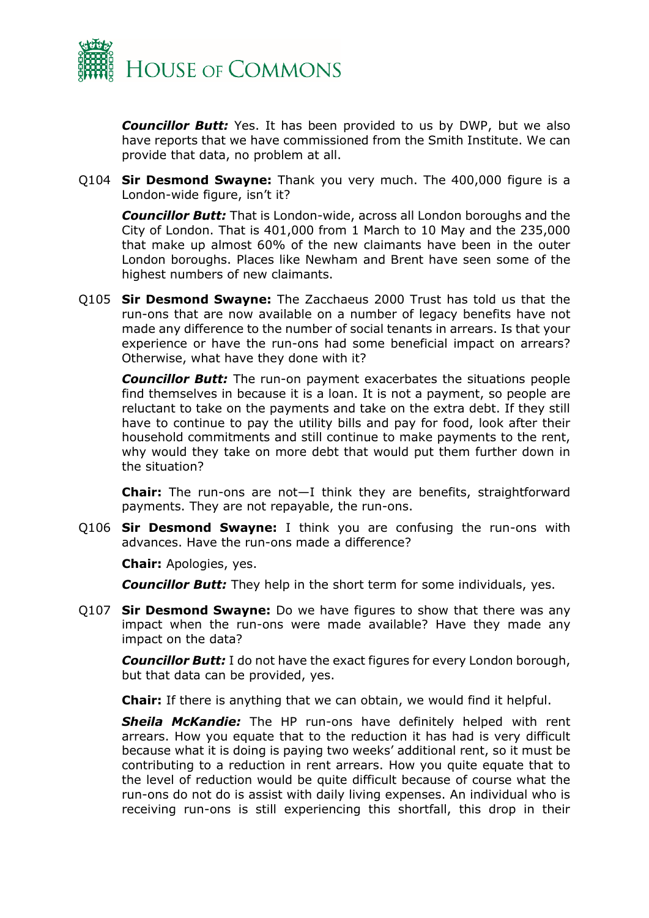

*Councillor Butt:* Yes. It has been provided to us by DWP, but we also have reports that we have commissioned from the Smith Institute. We can provide that data, no problem at all.

Q104 **Sir Desmond Swayne:** Thank you very much. The 400,000 figure is a London-wide figure, isn't it?

*Councillor Butt:* That is London-wide, across all London boroughs and the City of London. That is 401,000 from 1 March to 10 May and the 235,000 that make up almost 60% of the new claimants have been in the outer London boroughs. Places like Newham and Brent have seen some of the highest numbers of new claimants.

Q105 **Sir Desmond Swayne:** The Zacchaeus 2000 Trust has told us that the run-ons that are now available on a number of legacy benefits have not made any difference to the number of social tenants in arrears. Is that your experience or have the run-ons had some beneficial impact on arrears? Otherwise, what have they done with it?

*Councillor Butt:* The run-on payment exacerbates the situations people find themselves in because it is a loan. It is not a payment, so people are reluctant to take on the payments and take on the extra debt. If they still have to continue to pay the utility bills and pay for food, look after their household commitments and still continue to make payments to the rent, why would they take on more debt that would put them further down in the situation?

**Chair:** The run-ons are not—I think they are benefits, straightforward payments. They are not repayable, the run-ons.

Q106 **Sir Desmond Swayne:** I think you are confusing the run-ons with advances. Have the run-ons made a difference?

**Chair:** Apologies, yes.

*Councillor Butt:* They help in the short term for some individuals, yes.

Q107 **Sir Desmond Swayne:** Do we have figures to show that there was any impact when the run-ons were made available? Have they made any impact on the data?

*Councillor Butt:* I do not have the exact figures for every London borough, but that data can be provided, yes.

**Chair:** If there is anything that we can obtain, we would find it helpful.

*Sheila McKandie:* The HP run-ons have definitely helped with rent arrears. How you equate that to the reduction it has had is very difficult because what it is doing is paying two weeks' additional rent, so it must be contributing to a reduction in rent arrears. How you quite equate that to the level of reduction would be quite difficult because of course what the run-ons do not do is assist with daily living expenses. An individual who is receiving run-ons is still experiencing this shortfall, this drop in their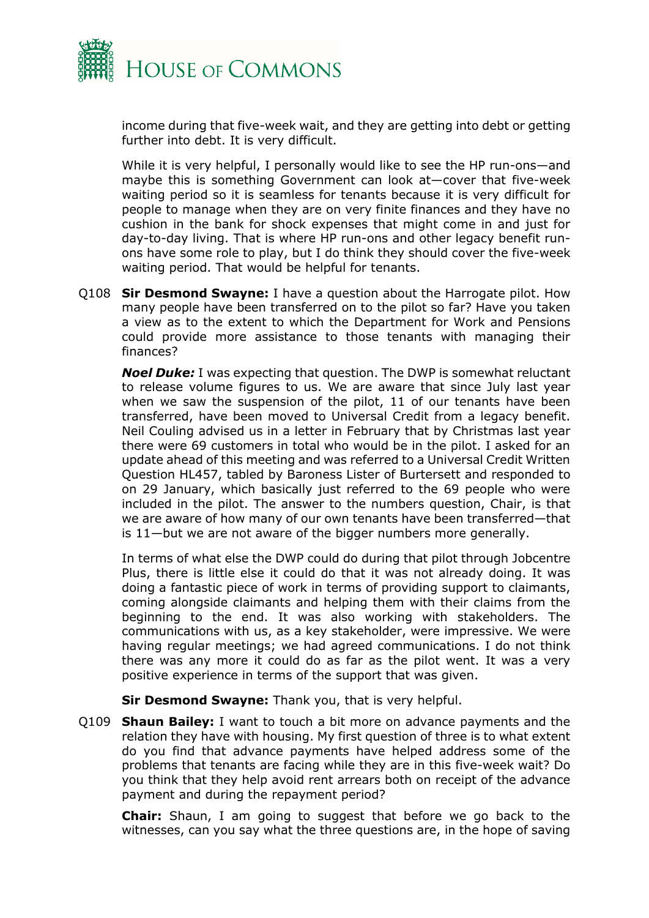

income during that five-week wait, and they are getting into debt or getting further into debt. It is very difficult.

While it is very helpful, I personally would like to see the HP run-ons—and maybe this is something Government can look at—cover that five-week waiting period so it is seamless for tenants because it is very difficult for people to manage when they are on very finite finances and they have no cushion in the bank for shock expenses that might come in and just for day-to-day living. That is where HP run-ons and other legacy benefit runons have some role to play, but I do think they should cover the five-week waiting period. That would be helpful for tenants.

Q108 **Sir Desmond Swayne:** I have a question about the Harrogate pilot. How many people have been transferred on to the pilot so far? Have you taken a view as to the extent to which the Department for Work and Pensions could provide more assistance to those tenants with managing their finances?

*Noel Duke:* I was expecting that question. The DWP is somewhat reluctant to release volume figures to us. We are aware that since July last year when we saw the suspension of the pilot, 11 of our tenants have been transferred, have been moved to Universal Credit from a legacy benefit. Neil Couling advised us in a letter in February that by Christmas last year there were 69 customers in total who would be in the pilot. I asked for an update ahead of this meeting and was referred to a Universal Credit Written Question HL457, tabled by Baroness Lister of Burtersett and responded to on 29 January, which basically just referred to the 69 people who were included in the pilot. The answer to the numbers question, Chair, is that we are aware of how many of our own tenants have been transferred—that is 11—but we are not aware of the bigger numbers more generally.

In terms of what else the DWP could do during that pilot through Jobcentre Plus, there is little else it could do that it was not already doing. It was doing a fantastic piece of work in terms of providing support to claimants, coming alongside claimants and helping them with their claims from the beginning to the end. It was also working with stakeholders. The communications with us, as a key stakeholder, were impressive. We were having regular meetings; we had agreed communications. I do not think there was any more it could do as far as the pilot went. It was a very positive experience in terms of the support that was given.

**Sir Desmond Swayne:** Thank you, that is very helpful.

Q109 **Shaun Bailey:** I want to touch a bit more on advance payments and the relation they have with housing. My first question of three is to what extent do you find that advance payments have helped address some of the problems that tenants are facing while they are in this five-week wait? Do you think that they help avoid rent arrears both on receipt of the advance payment and during the repayment period?

**Chair:** Shaun, I am going to suggest that before we go back to the witnesses, can you say what the three questions are, in the hope of saving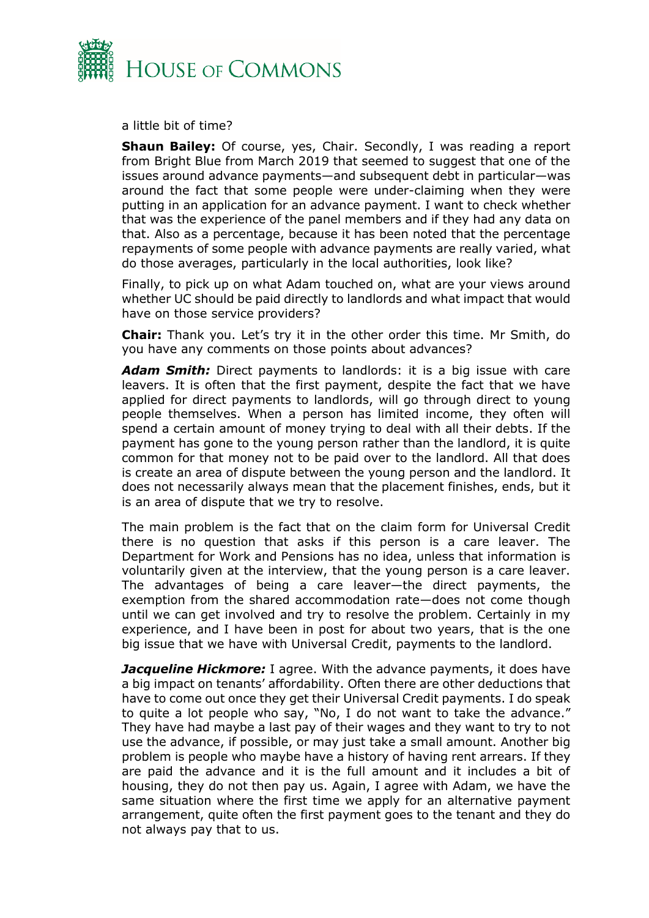

a little bit of time?

**Shaun Bailey:** Of course, yes, Chair. Secondly, I was reading a report from Bright Blue from March 2019 that seemed to suggest that one of the issues around advance payments—and subsequent debt in particular—was around the fact that some people were under-claiming when they were putting in an application for an advance payment. I want to check whether that was the experience of the panel members and if they had any data on that. Also as a percentage, because it has been noted that the percentage repayments of some people with advance payments are really varied, what do those averages, particularly in the local authorities, look like?

Finally, to pick up on what Adam touched on, what are your views around whether UC should be paid directly to landlords and what impact that would have on those service providers?

**Chair:** Thank you. Let's try it in the other order this time. Mr Smith, do you have any comments on those points about advances?

*Adam Smith:* Direct payments to landlords: it is a big issue with care leavers. It is often that the first payment, despite the fact that we have applied for direct payments to landlords, will go through direct to young people themselves. When a person has limited income, they often will spend a certain amount of money trying to deal with all their debts. If the payment has gone to the young person rather than the landlord, it is quite common for that money not to be paid over to the landlord. All that does is create an area of dispute between the young person and the landlord. It does not necessarily always mean that the placement finishes, ends, but it is an area of dispute that we try to resolve.

The main problem is the fact that on the claim form for Universal Credit there is no question that asks if this person is a care leaver. The Department for Work and Pensions has no idea, unless that information is voluntarily given at the interview, that the young person is a care leaver. The advantages of being a care leaver—the direct payments, the exemption from the shared accommodation rate—does not come though until we can get involved and try to resolve the problem. Certainly in my experience, and I have been in post for about two years, that is the one big issue that we have with Universal Credit, payments to the landlord.

*Jacqueline Hickmore:* I agree. With the advance payments, it does have a big impact on tenants' affordability. Often there are other deductions that have to come out once they get their Universal Credit payments. I do speak to quite a lot people who say, "No, I do not want to take the advance." They have had maybe a last pay of their wages and they want to try to not use the advance, if possible, or may just take a small amount. Another big problem is people who maybe have a history of having rent arrears. If they are paid the advance and it is the full amount and it includes a bit of housing, they do not then pay us. Again, I agree with Adam, we have the same situation where the first time we apply for an alternative payment arrangement, quite often the first payment goes to the tenant and they do not always pay that to us.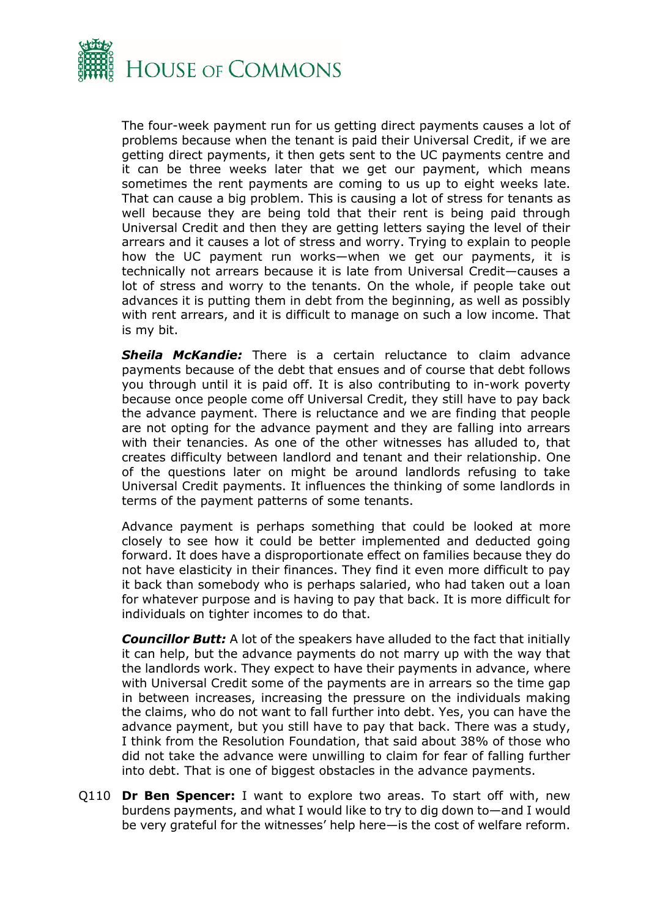

The four-week payment run for us getting direct payments causes a lot of problems because when the tenant is paid their Universal Credit, if we are getting direct payments, it then gets sent to the UC payments centre and it can be three weeks later that we get our payment, which means sometimes the rent payments are coming to us up to eight weeks late. That can cause a big problem. This is causing a lot of stress for tenants as well because they are being told that their rent is being paid through Universal Credit and then they are getting letters saying the level of their arrears and it causes a lot of stress and worry. Trying to explain to people how the UC payment run works—when we get our payments, it is technically not arrears because it is late from Universal Credit—causes a lot of stress and worry to the tenants. On the whole, if people take out advances it is putting them in debt from the beginning, as well as possibly with rent arrears, and it is difficult to manage on such a low income. That is my bit.

*Sheila McKandie:* There is a certain reluctance to claim advance payments because of the debt that ensues and of course that debt follows you through until it is paid off. It is also contributing to in-work poverty because once people come off Universal Credit, they still have to pay back the advance payment. There is reluctance and we are finding that people are not opting for the advance payment and they are falling into arrears with their tenancies. As one of the other witnesses has alluded to, that creates difficulty between landlord and tenant and their relationship. One of the questions later on might be around landlords refusing to take Universal Credit payments. It influences the thinking of some landlords in terms of the payment patterns of some tenants.

Advance payment is perhaps something that could be looked at more closely to see how it could be better implemented and deducted going forward. It does have a disproportionate effect on families because they do not have elasticity in their finances. They find it even more difficult to pay it back than somebody who is perhaps salaried, who had taken out a loan for whatever purpose and is having to pay that back. It is more difficult for individuals on tighter incomes to do that.

*Councillor Butt:* A lot of the speakers have alluded to the fact that initially it can help, but the advance payments do not marry up with the way that the landlords work. They expect to have their payments in advance, where with Universal Credit some of the payments are in arrears so the time gap in between increases, increasing the pressure on the individuals making the claims, who do not want to fall further into debt. Yes, you can have the advance payment, but you still have to pay that back. There was a study, I think from the Resolution Foundation, that said about 38% of those who did not take the advance were unwilling to claim for fear of falling further into debt. That is one of biggest obstacles in the advance payments.

Q110 **Dr Ben Spencer:** I want to explore two areas. To start off with, new burdens payments, and what I would like to try to dig down to—and I would be very grateful for the witnesses' help here—is the cost of welfare reform.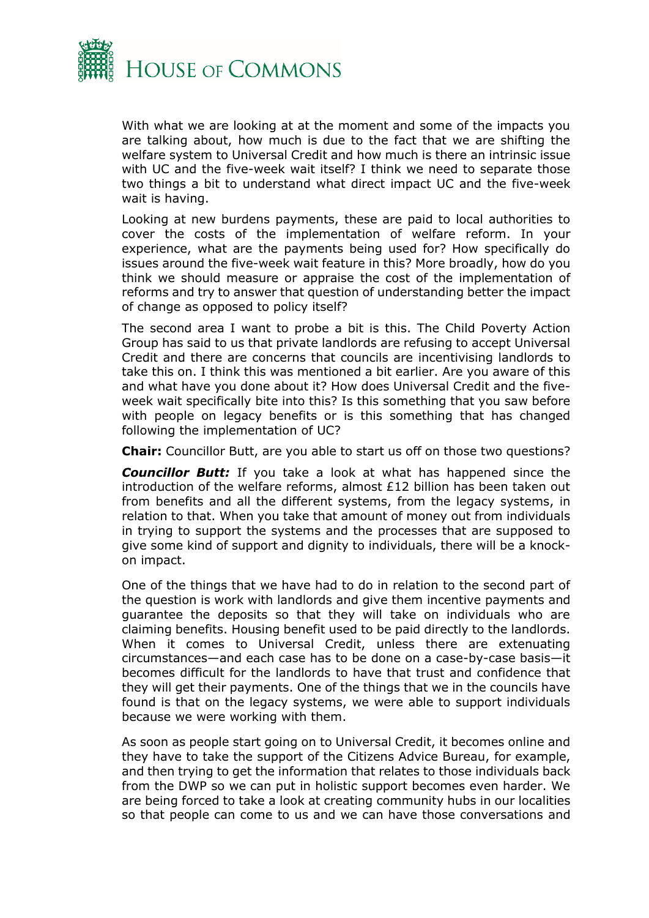

With what we are looking at at the moment and some of the impacts you are talking about, how much is due to the fact that we are shifting the welfare system to Universal Credit and how much is there an intrinsic issue with UC and the five-week wait itself? I think we need to separate those two things a bit to understand what direct impact UC and the five-week wait is having.

Looking at new burdens payments, these are paid to local authorities to cover the costs of the implementation of welfare reform. In your experience, what are the payments being used for? How specifically do issues around the five-week wait feature in this? More broadly, how do you think we should measure or appraise the cost of the implementation of reforms and try to answer that question of understanding better the impact of change as opposed to policy itself?

The second area I want to probe a bit is this. The Child Poverty Action Group has said to us that private landlords are refusing to accept Universal Credit and there are concerns that councils are incentivising landlords to take this on. I think this was mentioned a bit earlier. Are you aware of this and what have you done about it? How does Universal Credit and the fiveweek wait specifically bite into this? Is this something that you saw before with people on legacy benefits or is this something that has changed following the implementation of UC?

**Chair:** Councillor Butt, are you able to start us off on those two questions?

**Councillor Butt:** If you take a look at what has happened since the introduction of the welfare reforms, almost £12 billion has been taken out from benefits and all the different systems, from the legacy systems, in relation to that. When you take that amount of money out from individuals in trying to support the systems and the processes that are supposed to give some kind of support and dignity to individuals, there will be a knockon impact.

One of the things that we have had to do in relation to the second part of the question is work with landlords and give them incentive payments and guarantee the deposits so that they will take on individuals who are claiming benefits. Housing benefit used to be paid directly to the landlords. When it comes to Universal Credit, unless there are extenuating circumstances—and each case has to be done on a case-by-case basis—it becomes difficult for the landlords to have that trust and confidence that they will get their payments. One of the things that we in the councils have found is that on the legacy systems, we were able to support individuals because we were working with them.

As soon as people start going on to Universal Credit, it becomes online and they have to take the support of the Citizens Advice Bureau, for example, and then trying to get the information that relates to those individuals back from the DWP so we can put in holistic support becomes even harder. We are being forced to take a look at creating community hubs in our localities so that people can come to us and we can have those conversations and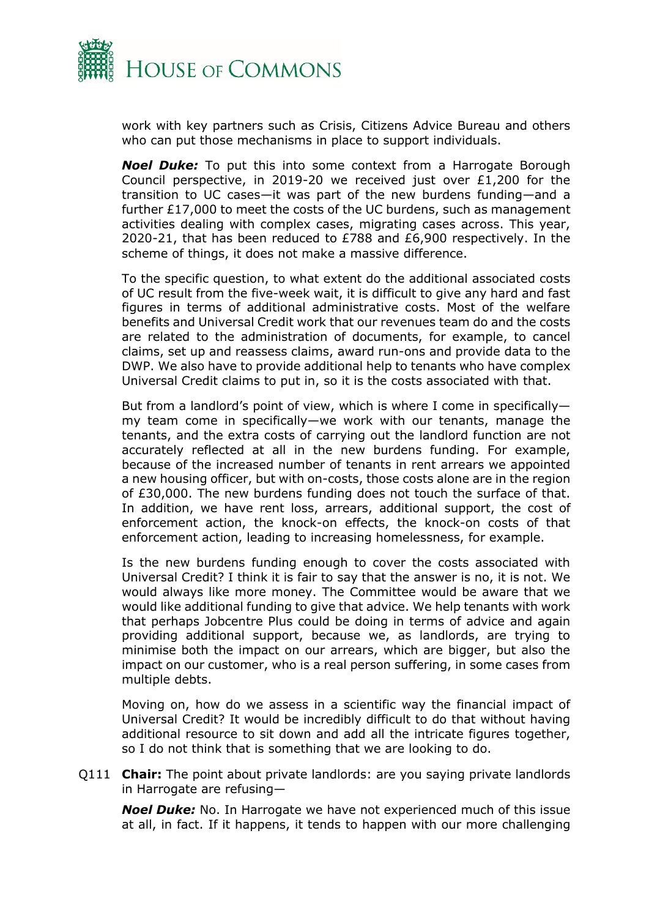

work with key partners such as Crisis, Citizens Advice Bureau and others who can put those mechanisms in place to support individuals.

*Noel Duke:* To put this into some context from a Harrogate Borough Council perspective, in 2019-20 we received just over £1,200 for the transition to UC cases—it was part of the new burdens funding—and a further £17,000 to meet the costs of the UC burdens, such as management activities dealing with complex cases, migrating cases across. This year, 2020-21, that has been reduced to £788 and £6,900 respectively. In the scheme of things, it does not make a massive difference.

To the specific question, to what extent do the additional associated costs of UC result from the five-week wait, it is difficult to give any hard and fast figures in terms of additional administrative costs. Most of the welfare benefits and Universal Credit work that our revenues team do and the costs are related to the administration of documents, for example, to cancel claims, set up and reassess claims, award run-ons and provide data to the DWP. We also have to provide additional help to tenants who have complex Universal Credit claims to put in, so it is the costs associated with that.

But from a landlord's point of view, which is where I come in specifically my team come in specifically—we work with our tenants, manage the tenants, and the extra costs of carrying out the landlord function are not accurately reflected at all in the new burdens funding. For example, because of the increased number of tenants in rent arrears we appointed a new housing officer, but with on-costs, those costs alone are in the region of £30,000. The new burdens funding does not touch the surface of that. In addition, we have rent loss, arrears, additional support, the cost of enforcement action, the knock-on effects, the knock-on costs of that enforcement action, leading to increasing homelessness, for example.

Is the new burdens funding enough to cover the costs associated with Universal Credit? I think it is fair to say that the answer is no, it is not. We would always like more money. The Committee would be aware that we would like additional funding to give that advice. We help tenants with work that perhaps Jobcentre Plus could be doing in terms of advice and again providing additional support, because we, as landlords, are trying to minimise both the impact on our arrears, which are bigger, but also the impact on our customer, who is a real person suffering, in some cases from multiple debts.

Moving on, how do we assess in a scientific way the financial impact of Universal Credit? It would be incredibly difficult to do that without having additional resource to sit down and add all the intricate figures together, so I do not think that is something that we are looking to do.

Q111 **Chair:** The point about private landlords: are you saying private landlords in Harrogate are refusing—

*Noel Duke:* No. In Harrogate we have not experienced much of this issue at all, in fact. If it happens, it tends to happen with our more challenging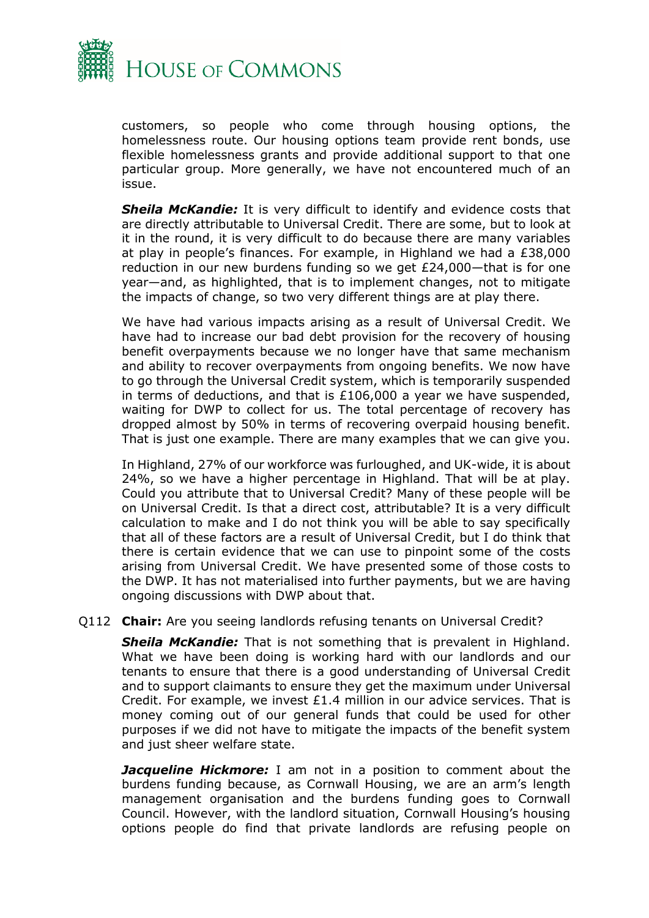

customers, so people who come through housing options, the homelessness route. Our housing options team provide rent bonds, use flexible homelessness grants and provide additional support to that one particular group. More generally, we have not encountered much of an issue.

*Sheila McKandie:* It is very difficult to identify and evidence costs that are directly attributable to Universal Credit. There are some, but to look at it in the round, it is very difficult to do because there are many variables at play in people's finances. For example, in Highland we had a £38,000 reduction in our new burdens funding so we get £24,000—that is for one year—and, as highlighted, that is to implement changes, not to mitigate the impacts of change, so two very different things are at play there.

We have had various impacts arising as a result of Universal Credit. We have had to increase our bad debt provision for the recovery of housing benefit overpayments because we no longer have that same mechanism and ability to recover overpayments from ongoing benefits. We now have to go through the Universal Credit system, which is temporarily suspended in terms of deductions, and that is £106,000 a year we have suspended, waiting for DWP to collect for us. The total percentage of recovery has dropped almost by 50% in terms of recovering overpaid housing benefit. That is just one example. There are many examples that we can give you.

In Highland, 27% of our workforce was furloughed, and UK-wide, it is about 24%, so we have a higher percentage in Highland. That will be at play. Could you attribute that to Universal Credit? Many of these people will be on Universal Credit. Is that a direct cost, attributable? It is a very difficult calculation to make and I do not think you will be able to say specifically that all of these factors are a result of Universal Credit, but I do think that there is certain evidence that we can use to pinpoint some of the costs arising from Universal Credit. We have presented some of those costs to the DWP. It has not materialised into further payments, but we are having ongoing discussions with DWP about that.

#### Q112 **Chair:** Are you seeing landlords refusing tenants on Universal Credit?

*Sheila McKandie:* That is not something that is prevalent in Highland. What we have been doing is working hard with our landlords and our tenants to ensure that there is a good understanding of Universal Credit and to support claimants to ensure they get the maximum under Universal Credit. For example, we invest £1.4 million in our advice services. That is money coming out of our general funds that could be used for other purposes if we did not have to mitigate the impacts of the benefit system and just sheer welfare state.

*Jacqueline Hickmore:* I am not in a position to comment about the burdens funding because, as Cornwall Housing, we are an arm's length management organisation and the burdens funding goes to Cornwall Council. However, with the landlord situation, Cornwall Housing's housing options people do find that private landlords are refusing people on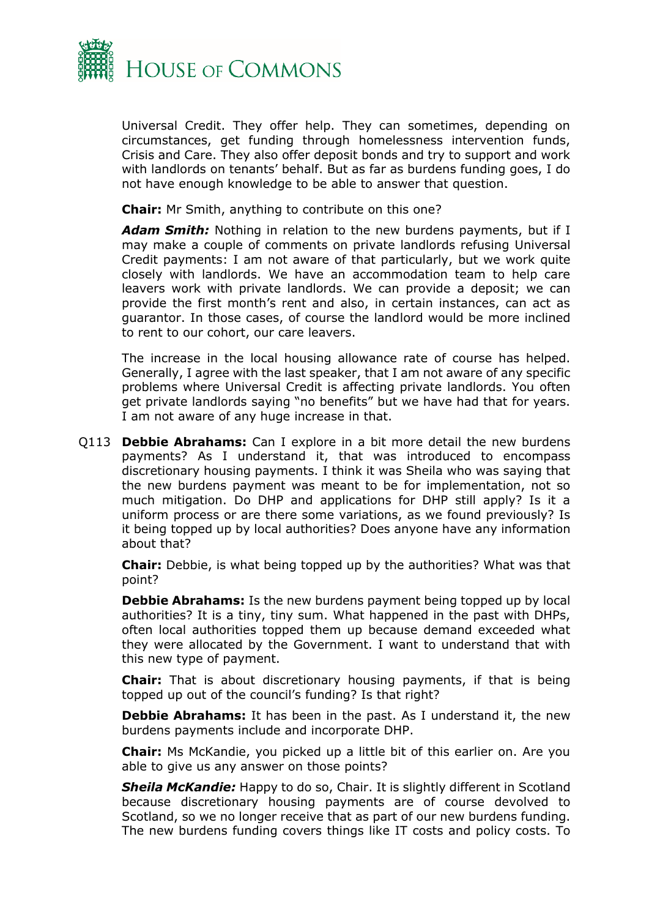

Universal Credit. They offer help. They can sometimes, depending on circumstances, get funding through homelessness intervention funds, Crisis and Care. They also offer deposit bonds and try to support and work with landlords on tenants' behalf. But as far as burdens funding goes, I do not have enough knowledge to be able to answer that question.

**Chair:** Mr Smith, anything to contribute on this one?

*Adam Smith:* Nothing in relation to the new burdens payments, but if I may make a couple of comments on private landlords refusing Universal Credit payments: I am not aware of that particularly, but we work quite closely with landlords. We have an accommodation team to help care leavers work with private landlords. We can provide a deposit; we can provide the first month's rent and also, in certain instances, can act as guarantor. In those cases, of course the landlord would be more inclined to rent to our cohort, our care leavers.

The increase in the local housing allowance rate of course has helped. Generally, I agree with the last speaker, that I am not aware of any specific problems where Universal Credit is affecting private landlords. You often get private landlords saying "no benefits" but we have had that for years. I am not aware of any huge increase in that.

Q113 **Debbie Abrahams:** Can I explore in a bit more detail the new burdens payments? As I understand it, that was introduced to encompass discretionary housing payments. I think it was Sheila who was saying that the new burdens payment was meant to be for implementation, not so much mitigation. Do DHP and applications for DHP still apply? Is it a uniform process or are there some variations, as we found previously? Is it being topped up by local authorities? Does anyone have any information about that?

**Chair:** Debbie, is what being topped up by the authorities? What was that point?

**Debbie Abrahams:** Is the new burdens payment being topped up by local authorities? It is a tiny, tiny sum. What happened in the past with DHPs, often local authorities topped them up because demand exceeded what they were allocated by the Government. I want to understand that with this new type of payment.

**Chair:** That is about discretionary housing payments, if that is being topped up out of the council's funding? Is that right?

**Debbie Abrahams:** It has been in the past. As I understand it, the new burdens payments include and incorporate DHP.

**Chair:** Ms McKandie, you picked up a little bit of this earlier on. Are you able to give us any answer on those points?

*Sheila McKandie:* Happy to do so, Chair. It is slightly different in Scotland because discretionary housing payments are of course devolved to Scotland, so we no longer receive that as part of our new burdens funding. The new burdens funding covers things like IT costs and policy costs. To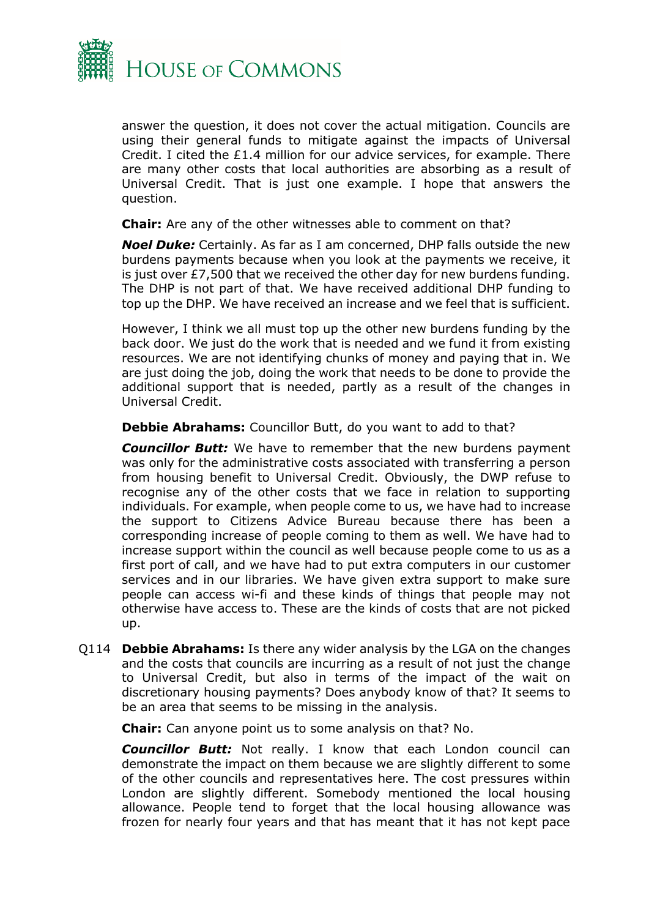

answer the question, it does not cover the actual mitigation. Councils are using their general funds to mitigate against the impacts of Universal Credit. I cited the £1.4 million for our advice services, for example. There are many other costs that local authorities are absorbing as a result of Universal Credit. That is just one example. I hope that answers the question.

**Chair:** Are any of the other witnesses able to comment on that?

*Noel Duke:* Certainly. As far as I am concerned, DHP falls outside the new burdens payments because when you look at the payments we receive, it is just over £7,500 that we received the other day for new burdens funding. The DHP is not part of that. We have received additional DHP funding to top up the DHP. We have received an increase and we feel that is sufficient.

However, I think we all must top up the other new burdens funding by the back door. We just do the work that is needed and we fund it from existing resources. We are not identifying chunks of money and paying that in. We are just doing the job, doing the work that needs to be done to provide the additional support that is needed, partly as a result of the changes in Universal Credit.

**Debbie Abrahams:** Councillor Butt, do you want to add to that?

*Councillor Butt:* We have to remember that the new burdens payment was only for the administrative costs associated with transferring a person from housing benefit to Universal Credit. Obviously, the DWP refuse to recognise any of the other costs that we face in relation to supporting individuals. For example, when people come to us, we have had to increase the support to Citizens Advice Bureau because there has been a corresponding increase of people coming to them as well. We have had to increase support within the council as well because people come to us as a first port of call, and we have had to put extra computers in our customer services and in our libraries. We have given extra support to make sure people can access wi-fi and these kinds of things that people may not otherwise have access to. These are the kinds of costs that are not picked up.

Q114 **Debbie Abrahams:** Is there any wider analysis by the LGA on the changes and the costs that councils are incurring as a result of not just the change to Universal Credit, but also in terms of the impact of the wait on discretionary housing payments? Does anybody know of that? It seems to be an area that seems to be missing in the analysis.

**Chair:** Can anyone point us to some analysis on that? No.

*Councillor Butt:* Not really. I know that each London council can demonstrate the impact on them because we are slightly different to some of the other councils and representatives here. The cost pressures within London are slightly different. Somebody mentioned the local housing allowance. People tend to forget that the local housing allowance was frozen for nearly four years and that has meant that it has not kept pace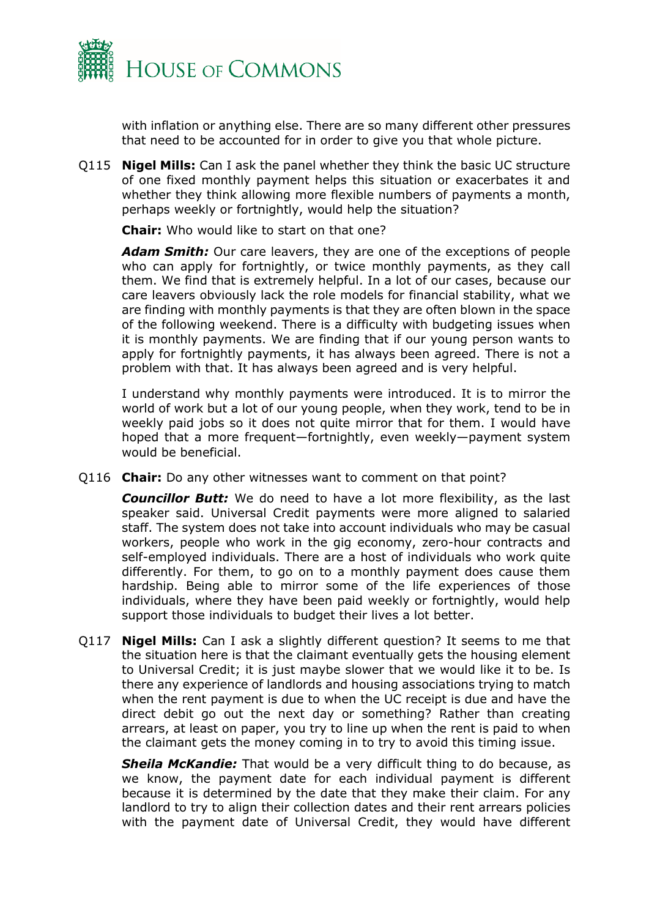

with inflation or anything else. There are so many different other pressures that need to be accounted for in order to give you that whole picture.

Q115 **Nigel Mills:** Can I ask the panel whether they think the basic UC structure of one fixed monthly payment helps this situation or exacerbates it and whether they think allowing more flexible numbers of payments a month, perhaps weekly or fortnightly, would help the situation?

**Chair:** Who would like to start on that one?

*Adam Smith:* Our care leavers, they are one of the exceptions of people who can apply for fortnightly, or twice monthly payments, as they call them. We find that is extremely helpful. In a lot of our cases, because our care leavers obviously lack the role models for financial stability, what we are finding with monthly payments is that they are often blown in the space of the following weekend. There is a difficulty with budgeting issues when it is monthly payments. We are finding that if our young person wants to apply for fortnightly payments, it has always been agreed. There is not a problem with that. It has always been agreed and is very helpful.

I understand why monthly payments were introduced. It is to mirror the world of work but a lot of our young people, when they work, tend to be in weekly paid jobs so it does not quite mirror that for them. I would have hoped that a more frequent—fortnightly, even weekly—payment system would be beneficial.

Q116 **Chair:** Do any other witnesses want to comment on that point?

*Councillor Butt:* We do need to have a lot more flexibility, as the last speaker said. Universal Credit payments were more aligned to salaried staff. The system does not take into account individuals who may be casual workers, people who work in the gig economy, zero-hour contracts and self-employed individuals. There are a host of individuals who work quite differently. For them, to go on to a monthly payment does cause them hardship. Being able to mirror some of the life experiences of those individuals, where they have been paid weekly or fortnightly, would help support those individuals to budget their lives a lot better.

Q117 **Nigel Mills:** Can I ask a slightly different question? It seems to me that the situation here is that the claimant eventually gets the housing element to Universal Credit; it is just maybe slower that we would like it to be. Is there any experience of landlords and housing associations trying to match when the rent payment is due to when the UC receipt is due and have the direct debit go out the next day or something? Rather than creating arrears, at least on paper, you try to line up when the rent is paid to when the claimant gets the money coming in to try to avoid this timing issue.

*Sheila McKandie:* That would be a very difficult thing to do because, as we know, the payment date for each individual payment is different because it is determined by the date that they make their claim. For any landlord to try to align their collection dates and their rent arrears policies with the payment date of Universal Credit, they would have different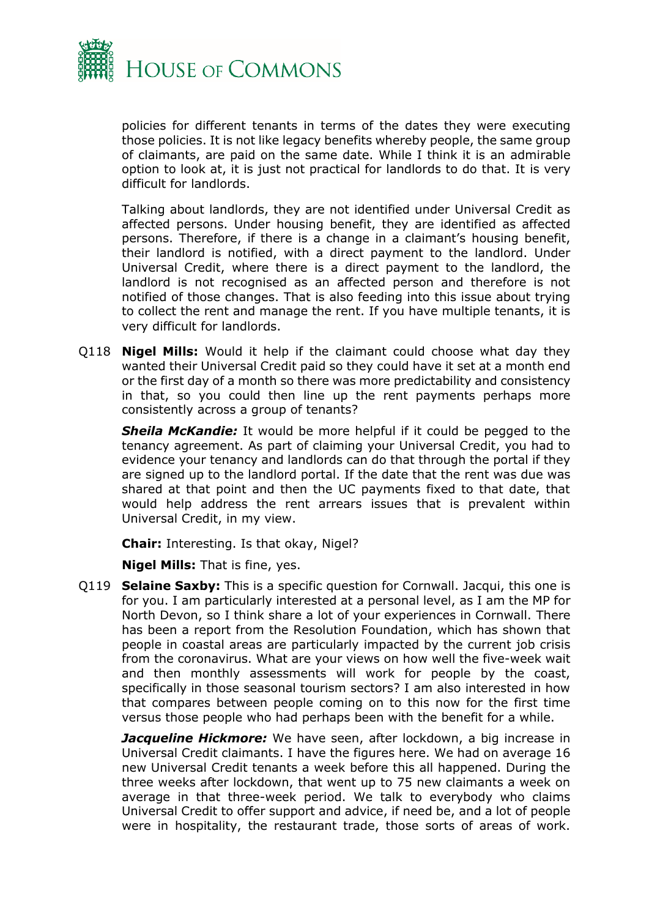

policies for different tenants in terms of the dates they were executing those policies. It is not like legacy benefits whereby people, the same group of claimants, are paid on the same date. While I think it is an admirable option to look at, it is just not practical for landlords to do that. It is very difficult for landlords.

Talking about landlords, they are not identified under Universal Credit as affected persons. Under housing benefit, they are identified as affected persons. Therefore, if there is a change in a claimant's housing benefit, their landlord is notified, with a direct payment to the landlord. Under Universal Credit, where there is a direct payment to the landlord, the landlord is not recognised as an affected person and therefore is not notified of those changes. That is also feeding into this issue about trying to collect the rent and manage the rent. If you have multiple tenants, it is very difficult for landlords.

Q118 **Nigel Mills:** Would it help if the claimant could choose what day they wanted their Universal Credit paid so they could have it set at a month end or the first day of a month so there was more predictability and consistency in that, so you could then line up the rent payments perhaps more consistently across a group of tenants?

*Sheila McKandie:* It would be more helpful if it could be pegged to the tenancy agreement. As part of claiming your Universal Credit, you had to evidence your tenancy and landlords can do that through the portal if they are signed up to the landlord portal. If the date that the rent was due was shared at that point and then the UC payments fixed to that date, that would help address the rent arrears issues that is prevalent within Universal Credit, in my view.

**Chair:** Interesting. Is that okay, Nigel?

**Nigel Mills:** That is fine, yes.

Q119 **Selaine Saxby:** This is a specific question for Cornwall. Jacqui, this one is for you. I am particularly interested at a personal level, as I am the MP for North Devon, so I think share a lot of your experiences in Cornwall. There has been a report from the Resolution Foundation, which has shown that people in coastal areas are particularly impacted by the current job crisis from the coronavirus. What are your views on how well the five-week wait and then monthly assessments will work for people by the coast, specifically in those seasonal tourism sectors? I am also interested in how that compares between people coming on to this now for the first time versus those people who had perhaps been with the benefit for a while.

**Jacqueline Hickmore:** We have seen, after lockdown, a big increase in Universal Credit claimants. I have the figures here. We had on average 16 new Universal Credit tenants a week before this all happened. During the three weeks after lockdown, that went up to 75 new claimants a week on average in that three-week period. We talk to everybody who claims Universal Credit to offer support and advice, if need be, and a lot of people were in hospitality, the restaurant trade, those sorts of areas of work.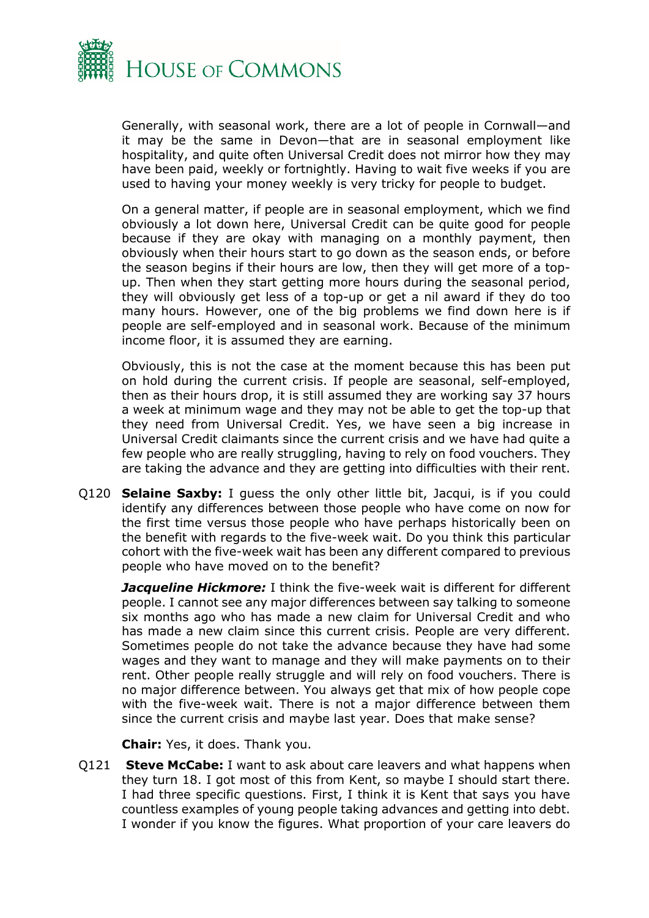

Generally, with seasonal work, there are a lot of people in Cornwall—and it may be the same in Devon—that are in seasonal employment like hospitality, and quite often Universal Credit does not mirror how they may have been paid, weekly or fortnightly. Having to wait five weeks if you are used to having your money weekly is very tricky for people to budget.

On a general matter, if people are in seasonal employment, which we find obviously a lot down here, Universal Credit can be quite good for people because if they are okay with managing on a monthly payment, then obviously when their hours start to go down as the season ends, or before the season begins if their hours are low, then they will get more of a topup. Then when they start getting more hours during the seasonal period, they will obviously get less of a top-up or get a nil award if they do too many hours. However, one of the big problems we find down here is if people are self-employed and in seasonal work. Because of the minimum income floor, it is assumed they are earning.

Obviously, this is not the case at the moment because this has been put on hold during the current crisis. If people are seasonal, self-employed, then as their hours drop, it is still assumed they are working say 37 hours a week at minimum wage and they may not be able to get the top-up that they need from Universal Credit. Yes, we have seen a big increase in Universal Credit claimants since the current crisis and we have had quite a few people who are really struggling, having to rely on food vouchers. They are taking the advance and they are getting into difficulties with their rent.

Q120 **Selaine Saxby:** I guess the only other little bit, Jacqui, is if you could identify any differences between those people who have come on now for the first time versus those people who have perhaps historically been on the benefit with regards to the five-week wait. Do you think this particular cohort with the five-week wait has been any different compared to previous people who have moved on to the benefit?

*Jacqueline Hickmore:* I think the five-week wait is different for different people. I cannot see any major differences between say talking to someone six months ago who has made a new claim for Universal Credit and who has made a new claim since this current crisis. People are very different. Sometimes people do not take the advance because they have had some wages and they want to manage and they will make payments on to their rent. Other people really struggle and will rely on food vouchers. There is no major difference between. You always get that mix of how people cope with the five-week wait. There is not a major difference between them since the current crisis and maybe last year. Does that make sense?

**Chair:** Yes, it does. Thank you.

Q121 **Steve McCabe:** I want to ask about care leavers and what happens when they turn 18. I got most of this from Kent, so maybe I should start there. I had three specific questions. First, I think it is Kent that says you have countless examples of young people taking advances and getting into debt. I wonder if you know the figures. What proportion of your care leavers do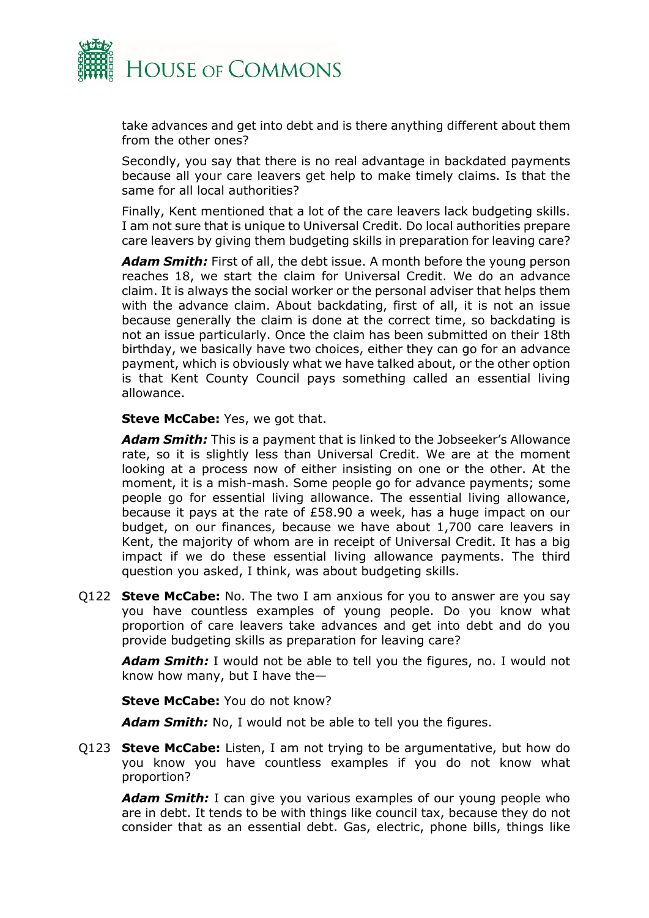

take advances and get into debt and is there anything different about them from the other ones?

Secondly, you say that there is no real advantage in backdated payments because all your care leavers get help to make timely claims. Is that the same for all local authorities?

Finally, Kent mentioned that a lot of the care leavers lack budgeting skills. I am not sure that is unique to Universal Credit. Do local authorities prepare care leavers by giving them budgeting skills in preparation for leaving care?

*Adam Smith:* First of all, the debt issue. A month before the young person reaches 18, we start the claim for Universal Credit. We do an advance claim. It is always the social worker or the personal adviser that helps them with the advance claim. About backdating, first of all, it is not an issue because generally the claim is done at the correct time, so backdating is not an issue particularly. Once the claim has been submitted on their 18th birthday, we basically have two choices, either they can go for an advance payment, which is obviously what we have talked about, or the other option is that Kent County Council pays something called an essential living allowance.

#### **Steve McCabe:** Yes, we got that.

*Adam Smith:* This is a payment that is linked to the Jobseeker's Allowance rate, so it is slightly less than Universal Credit. We are at the moment looking at a process now of either insisting on one or the other. At the moment, it is a mish-mash. Some people go for advance payments; some people go for essential living allowance. The essential living allowance, because it pays at the rate of £58.90 a week, has a huge impact on our budget, on our finances, because we have about 1,700 care leavers in Kent, the majority of whom are in receipt of Universal Credit. It has a big impact if we do these essential living allowance payments. The third question you asked, I think, was about budgeting skills.

Q122 **Steve McCabe:** No. The two I am anxious for you to answer are you say you have countless examples of young people. Do you know what proportion of care leavers take advances and get into debt and do you provide budgeting skills as preparation for leaving care?

*Adam Smith:* I would not be able to tell you the figures, no. I would not know how many, but I have the—

**Steve McCabe:** You do not know?

Adam Smith: No. I would not be able to tell you the figures.

Q123 **Steve McCabe:** Listen, I am not trying to be argumentative, but how do you know you have countless examples if you do not know what proportion?

*Adam Smith:* I can give you various examples of our young people who are in debt. It tends to be with things like council tax, because they do not consider that as an essential debt. Gas, electric, phone bills, things like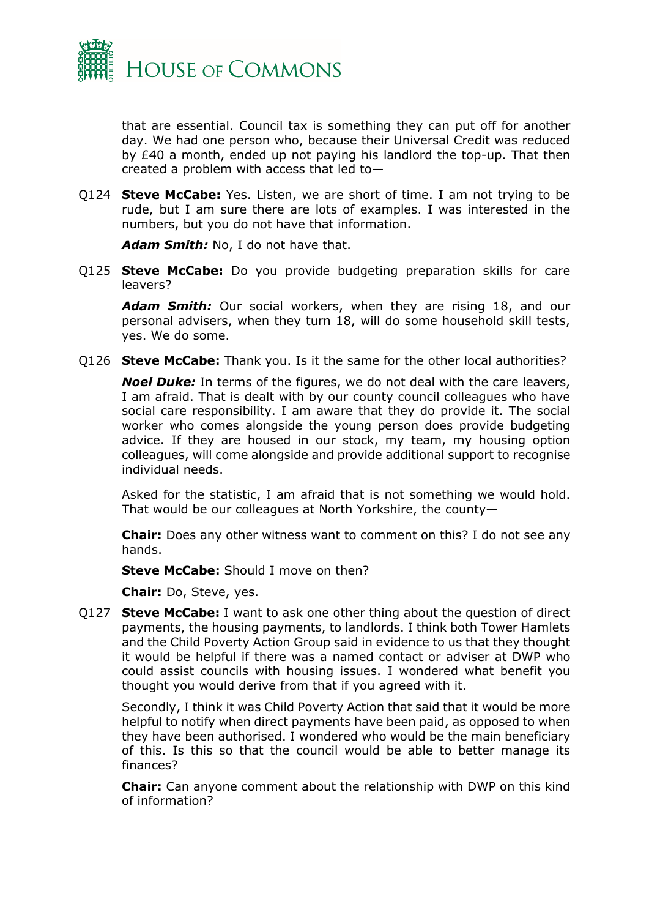

that are essential. Council tax is something they can put off for another day. We had one person who, because their Universal Credit was reduced by £40 a month, ended up not paying his landlord the top-up. That then created a problem with access that led to—

Q124 **Steve McCabe:** Yes. Listen, we are short of time. I am not trying to be rude, but I am sure there are lots of examples. I was interested in the numbers, but you do not have that information.

*Adam Smith:* No, I do not have that.

Q125 **Steve McCabe:** Do you provide budgeting preparation skills for care leavers?

*Adam Smith:* Our social workers, when they are rising 18, and our personal advisers, when they turn 18, will do some household skill tests, yes. We do some.

Q126 **Steve McCabe:** Thank you. Is it the same for the other local authorities?

*Noel Duke:* In terms of the figures, we do not deal with the care leavers, I am afraid. That is dealt with by our county council colleagues who have social care responsibility. I am aware that they do provide it. The social worker who comes alongside the young person does provide budgeting advice. If they are housed in our stock, my team, my housing option colleagues, will come alongside and provide additional support to recognise individual needs.

Asked for the statistic, I am afraid that is not something we would hold. That would be our colleagues at North Yorkshire, the county—

**Chair:** Does any other witness want to comment on this? I do not see any hands.

**Steve McCabe:** Should I move on then?

**Chair:** Do, Steve, yes.

Q127 **Steve McCabe:** I want to ask one other thing about the question of direct payments, the housing payments, to landlords. I think both Tower Hamlets and the Child Poverty Action Group said in evidence to us that they thought it would be helpful if there was a named contact or adviser at DWP who could assist councils with housing issues. I wondered what benefit you thought you would derive from that if you agreed with it.

Secondly, I think it was Child Poverty Action that said that it would be more helpful to notify when direct payments have been paid, as opposed to when they have been authorised. I wondered who would be the main beneficiary of this. Is this so that the council would be able to better manage its finances?

**Chair:** Can anyone comment about the relationship with DWP on this kind of information?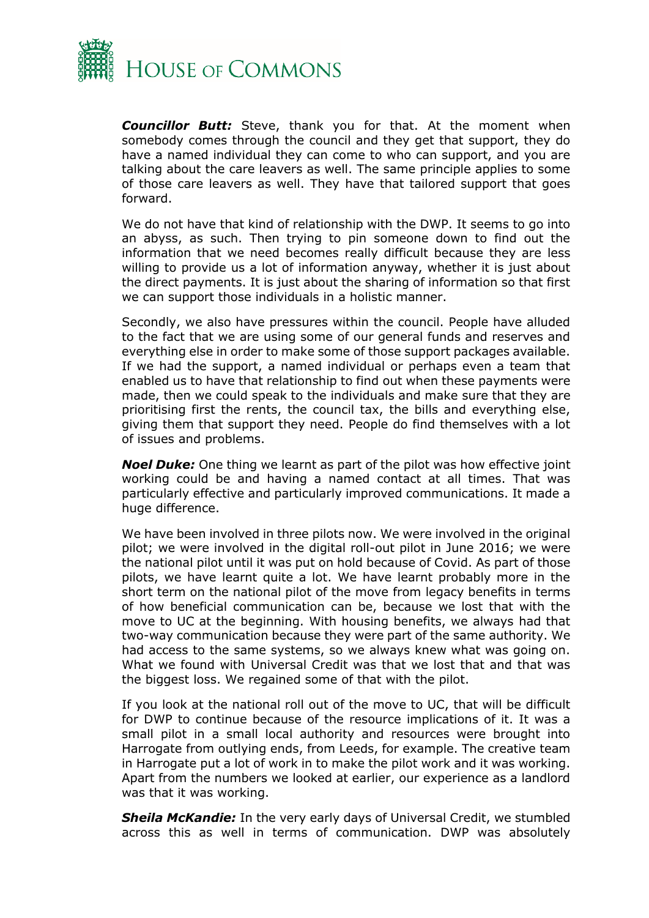

*Councillor Butt:* Steve, thank you for that. At the moment when somebody comes through the council and they get that support, they do have a named individual they can come to who can support, and you are talking about the care leavers as well. The same principle applies to some of those care leavers as well. They have that tailored support that goes forward.

We do not have that kind of relationship with the DWP. It seems to go into an abyss, as such. Then trying to pin someone down to find out the information that we need becomes really difficult because they are less willing to provide us a lot of information anyway, whether it is just about the direct payments. It is just about the sharing of information so that first we can support those individuals in a holistic manner.

Secondly, we also have pressures within the council. People have alluded to the fact that we are using some of our general funds and reserves and everything else in order to make some of those support packages available. If we had the support, a named individual or perhaps even a team that enabled us to have that relationship to find out when these payments were made, then we could speak to the individuals and make sure that they are prioritising first the rents, the council tax, the bills and everything else, giving them that support they need. People do find themselves with a lot of issues and problems.

*Noel Duke:* One thing we learnt as part of the pilot was how effective joint working could be and having a named contact at all times. That was particularly effective and particularly improved communications. It made a huge difference.

We have been involved in three pilots now. We were involved in the original pilot; we were involved in the digital roll-out pilot in June 2016; we were the national pilot until it was put on hold because of Covid. As part of those pilots, we have learnt quite a lot. We have learnt probably more in the short term on the national pilot of the move from legacy benefits in terms of how beneficial communication can be, because we lost that with the move to UC at the beginning. With housing benefits, we always had that two-way communication because they were part of the same authority. We had access to the same systems, so we always knew what was going on. What we found with Universal Credit was that we lost that and that was the biggest loss. We regained some of that with the pilot.

If you look at the national roll out of the move to UC, that will be difficult for DWP to continue because of the resource implications of it. It was a small pilot in a small local authority and resources were brought into Harrogate from outlying ends, from Leeds, for example. The creative team in Harrogate put a lot of work in to make the pilot work and it was working. Apart from the numbers we looked at earlier, our experience as a landlord was that it was working.

*Sheila McKandie:* In the very early days of Universal Credit, we stumbled across this as well in terms of communication. DWP was absolutely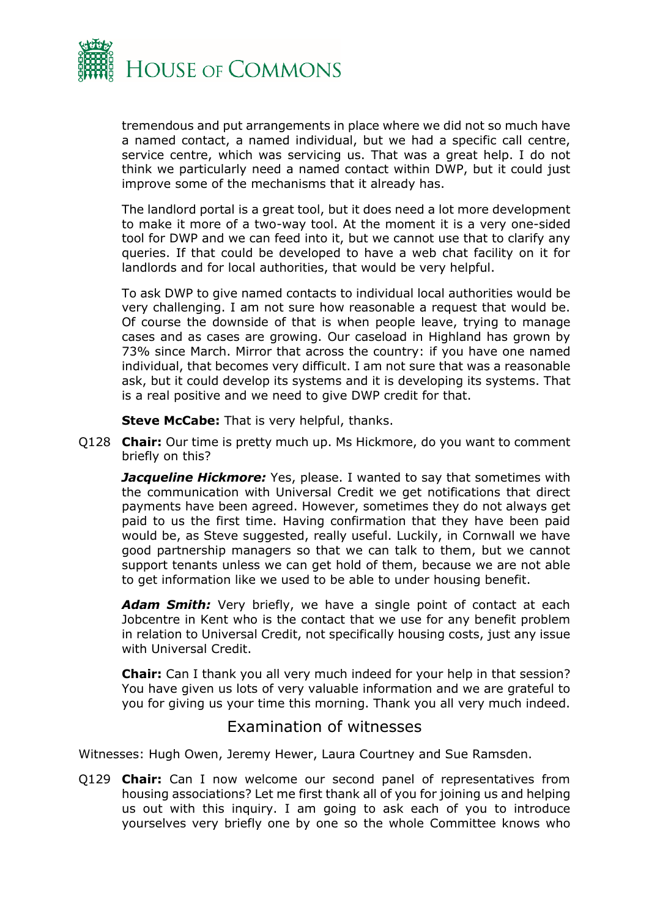

tremendous and put arrangements in place where we did not so much have a named contact, a named individual, but we had a specific call centre, service centre, which was servicing us. That was a great help. I do not think we particularly need a named contact within DWP, but it could just improve some of the mechanisms that it already has.

The landlord portal is a great tool, but it does need a lot more development to make it more of a two-way tool. At the moment it is a very one-sided tool for DWP and we can feed into it, but we cannot use that to clarify any queries. If that could be developed to have a web chat facility on it for landlords and for local authorities, that would be very helpful.

To ask DWP to give named contacts to individual local authorities would be very challenging. I am not sure how reasonable a request that would be. Of course the downside of that is when people leave, trying to manage cases and as cases are growing. Our caseload in Highland has grown by 73% since March. Mirror that across the country: if you have one named individual, that becomes very difficult. I am not sure that was a reasonable ask, but it could develop its systems and it is developing its systems. That is a real positive and we need to give DWP credit for that.

**Steve McCabe:** That is very helpful, thanks.

Q128 **Chair:** Our time is pretty much up. Ms Hickmore, do you want to comment briefly on this?

**Jacqueline Hickmore:** Yes, please. I wanted to say that sometimes with the communication with Universal Credit we get notifications that direct payments have been agreed. However, sometimes they do not always get paid to us the first time. Having confirmation that they have been paid would be, as Steve suggested, really useful. Luckily, in Cornwall we have good partnership managers so that we can talk to them, but we cannot support tenants unless we can get hold of them, because we are not able to get information like we used to be able to under housing benefit.

Adam Smith: Very briefly, we have a single point of contact at each Jobcentre in Kent who is the contact that we use for any benefit problem in relation to Universal Credit, not specifically housing costs, just any issue with Universal Credit.

**Chair:** Can I thank you all very much indeed for your help in that session? You have given us lots of very valuable information and we are grateful to you for giving us your time this morning. Thank you all very much indeed.

### Examination of witnesses

<span id="page-20-0"></span>Witnesses: Hugh Owen, Jeremy Hewer, Laura Courtney and Sue Ramsden.

Q129 **Chair:** Can I now welcome our second panel of representatives from housing associations? Let me first thank all of you for joining us and helping us out with this inquiry. I am going to ask each of you to introduce yourselves very briefly one by one so the whole Committee knows who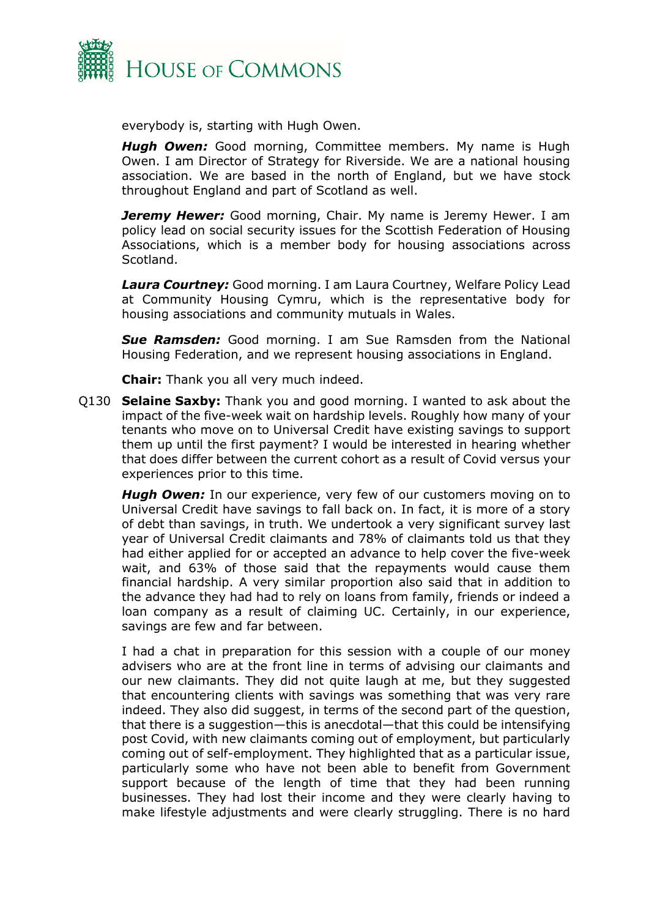

everybody is, starting with Hugh Owen.

**Hugh Owen:** Good morning, Committee members. My name is Hugh Owen. I am Director of Strategy for Riverside. We are a national housing association. We are based in the north of England, but we have stock throughout England and part of Scotland as well.

**Jeremy Hewer:** Good morning, Chair. My name is Jeremy Hewer. I am policy lead on social security issues for the Scottish Federation of Housing Associations, which is a member body for housing associations across Scotland.

*Laura Courtney:* Good morning. I am Laura Courtney, Welfare Policy Lead at Community Housing Cymru, which is the representative body for housing associations and community mutuals in Wales.

*Sue Ramsden:* Good morning. I am Sue Ramsden from the National Housing Federation, and we represent housing associations in England.

**Chair:** Thank you all very much indeed.

Q130 **Selaine Saxby:** Thank you and good morning. I wanted to ask about the impact of the five-week wait on hardship levels. Roughly how many of your tenants who move on to Universal Credit have existing savings to support them up until the first payment? I would be interested in hearing whether that does differ between the current cohort as a result of Covid versus your experiences prior to this time.

*Hugh Owen:* In our experience, very few of our customers moving on to Universal Credit have savings to fall back on. In fact, it is more of a story of debt than savings, in truth. We undertook a very significant survey last year of Universal Credit claimants and 78% of claimants told us that they had either applied for or accepted an advance to help cover the five-week wait, and 63% of those said that the repayments would cause them financial hardship. A very similar proportion also said that in addition to the advance they had had to rely on loans from family, friends or indeed a loan company as a result of claiming UC. Certainly, in our experience, savings are few and far between.

I had a chat in preparation for this session with a couple of our money advisers who are at the front line in terms of advising our claimants and our new claimants. They did not quite laugh at me, but they suggested that encountering clients with savings was something that was very rare indeed. They also did suggest, in terms of the second part of the question, that there is a suggestion—this is anecdotal—that this could be intensifying post Covid, with new claimants coming out of employment, but particularly coming out of self-employment. They highlighted that as a particular issue, particularly some who have not been able to benefit from Government support because of the length of time that they had been running businesses. They had lost their income and they were clearly having to make lifestyle adjustments and were clearly struggling. There is no hard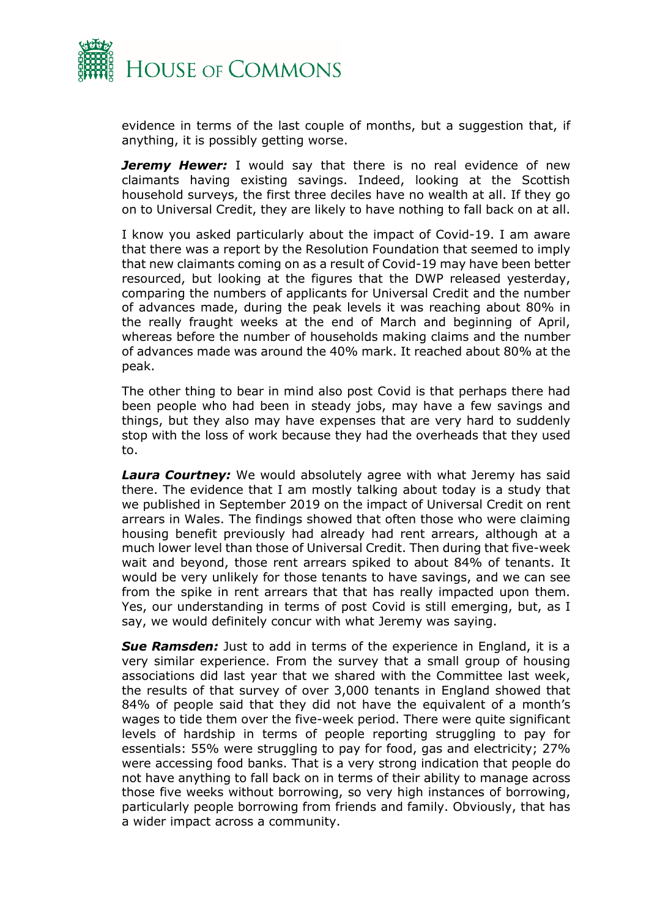

evidence in terms of the last couple of months, but a suggestion that, if anything, it is possibly getting worse.

**Jeremy Hewer:** I would say that there is no real evidence of new claimants having existing savings. Indeed, looking at the Scottish household surveys, the first three deciles have no wealth at all. If they go on to Universal Credit, they are likely to have nothing to fall back on at all.

I know you asked particularly about the impact of Covid-19. I am aware that there was a report by the Resolution Foundation that seemed to imply that new claimants coming on as a result of Covid-19 may have been better resourced, but looking at the figures that the DWP released yesterday, comparing the numbers of applicants for Universal Credit and the number of advances made, during the peak levels it was reaching about 80% in the really fraught weeks at the end of March and beginning of April, whereas before the number of households making claims and the number of advances made was around the 40% mark. It reached about 80% at the peak.

The other thing to bear in mind also post Covid is that perhaps there had been people who had been in steady jobs, may have a few savings and things, but they also may have expenses that are very hard to suddenly stop with the loss of work because they had the overheads that they used to.

**Laura Courtney:** We would absolutely agree with what Jeremy has said there. The evidence that I am mostly talking about today is a study that we published in September 2019 on the impact of Universal Credit on rent arrears in Wales. The findings showed that often those who were claiming housing benefit previously had already had rent arrears, although at a much lower level than those of Universal Credit. Then during that five-week wait and beyond, those rent arrears spiked to about 84% of tenants. It would be very unlikely for those tenants to have savings, and we can see from the spike in rent arrears that that has really impacted upon them. Yes, our understanding in terms of post Covid is still emerging, but, as I say, we would definitely concur with what Jeremy was saying.

**Sue Ramsden:** Just to add in terms of the experience in England, it is a very similar experience. From the survey that a small group of housing associations did last year that we shared with the Committee last week, the results of that survey of over 3,000 tenants in England showed that 84% of people said that they did not have the equivalent of a month's wages to tide them over the five-week period. There were quite significant levels of hardship in terms of people reporting struggling to pay for essentials: 55% were struggling to pay for food, gas and electricity; 27% were accessing food banks. That is a very strong indication that people do not have anything to fall back on in terms of their ability to manage across those five weeks without borrowing, so very high instances of borrowing, particularly people borrowing from friends and family. Obviously, that has a wider impact across a community.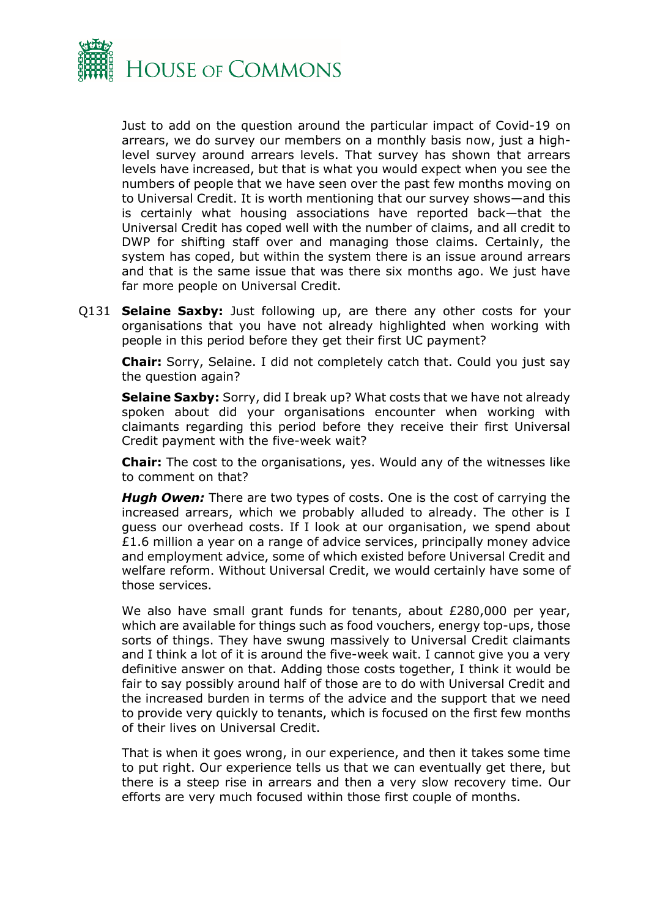

Just to add on the question around the particular impact of Covid-19 on arrears, we do survey our members on a monthly basis now, just a highlevel survey around arrears levels. That survey has shown that arrears levels have increased, but that is what you would expect when you see the numbers of people that we have seen over the past few months moving on to Universal Credit. It is worth mentioning that our survey shows—and this is certainly what housing associations have reported back—that the Universal Credit has coped well with the number of claims, and all credit to DWP for shifting staff over and managing those claims. Certainly, the system has coped, but within the system there is an issue around arrears and that is the same issue that was there six months ago. We just have far more people on Universal Credit.

Q131 **Selaine Saxby:** Just following up, are there any other costs for your organisations that you have not already highlighted when working with people in this period before they get their first UC payment?

**Chair:** Sorry, Selaine. I did not completely catch that. Could you just say the question again?

**Selaine Saxby:** Sorry, did I break up? What costs that we have not already spoken about did your organisations encounter when working with claimants regarding this period before they receive their first Universal Credit payment with the five-week wait?

**Chair:** The cost to the organisations, yes. Would any of the witnesses like to comment on that?

*Hugh Owen:* There are two types of costs. One is the cost of carrying the increased arrears, which we probably alluded to already. The other is I guess our overhead costs. If I look at our organisation, we spend about £1.6 million a year on a range of advice services, principally money advice and employment advice, some of which existed before Universal Credit and welfare reform. Without Universal Credit, we would certainly have some of those services.

We also have small grant funds for tenants, about £280,000 per year, which are available for things such as food vouchers, energy top-ups, those sorts of things. They have swung massively to Universal Credit claimants and I think a lot of it is around the five-week wait. I cannot give you a very definitive answer on that. Adding those costs together, I think it would be fair to say possibly around half of those are to do with Universal Credit and the increased burden in terms of the advice and the support that we need to provide very quickly to tenants, which is focused on the first few months of their lives on Universal Credit.

That is when it goes wrong, in our experience, and then it takes some time to put right. Our experience tells us that we can eventually get there, but there is a steep rise in arrears and then a very slow recovery time. Our efforts are very much focused within those first couple of months.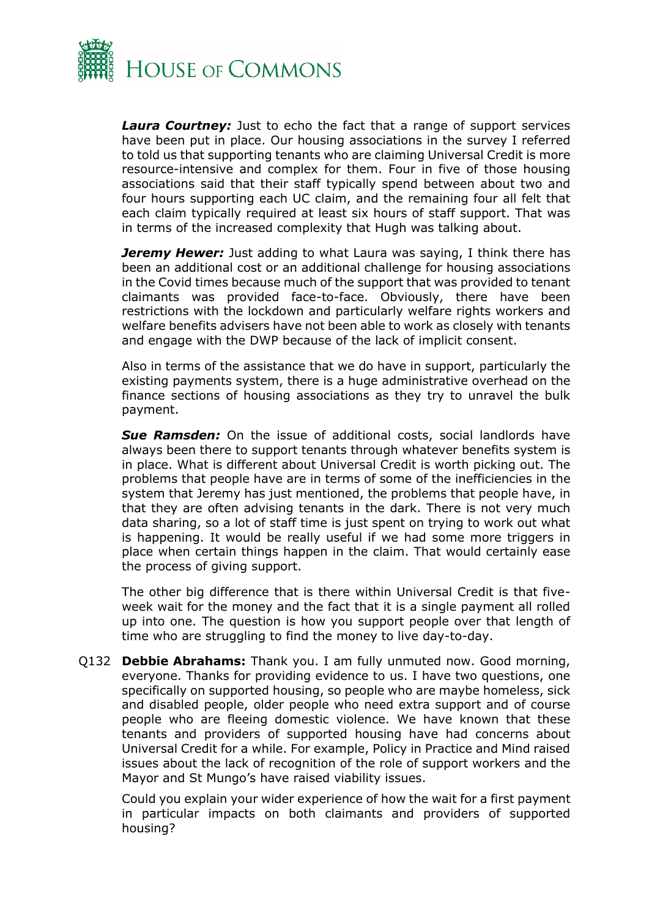

*Laura Courtney:* Just to echo the fact that a range of support services have been put in place. Our housing associations in the survey I referred to told us that supporting tenants who are claiming Universal Credit is more resource-intensive and complex for them. Four in five of those housing associations said that their staff typically spend between about two and four hours supporting each UC claim, and the remaining four all felt that each claim typically required at least six hours of staff support. That was in terms of the increased complexity that Hugh was talking about.

*Jeremy Hewer:* Just adding to what Laura was saying, I think there has been an additional cost or an additional challenge for housing associations in the Covid times because much of the support that was provided to tenant claimants was provided face-to-face. Obviously, there have been restrictions with the lockdown and particularly welfare rights workers and welfare benefits advisers have not been able to work as closely with tenants and engage with the DWP because of the lack of implicit consent.

Also in terms of the assistance that we do have in support, particularly the existing payments system, there is a huge administrative overhead on the finance sections of housing associations as they try to unravel the bulk payment.

**Sue Ramsden:** On the issue of additional costs, social landlords have always been there to support tenants through whatever benefits system is in place. What is different about Universal Credit is worth picking out. The problems that people have are in terms of some of the inefficiencies in the system that Jeremy has just mentioned, the problems that people have, in that they are often advising tenants in the dark. There is not very much data sharing, so a lot of staff time is just spent on trying to work out what is happening. It would be really useful if we had some more triggers in place when certain things happen in the claim. That would certainly ease the process of giving support.

The other big difference that is there within Universal Credit is that fiveweek wait for the money and the fact that it is a single payment all rolled up into one. The question is how you support people over that length of time who are struggling to find the money to live day-to-day.

Q132 **Debbie Abrahams:** Thank you. I am fully unmuted now. Good morning, everyone. Thanks for providing evidence to us. I have two questions, one specifically on supported housing, so people who are maybe homeless, sick and disabled people, older people who need extra support and of course people who are fleeing domestic violence. We have known that these tenants and providers of supported housing have had concerns about Universal Credit for a while. For example, Policy in Practice and Mind raised issues about the lack of recognition of the role of support workers and the Mayor and St Mungo's have raised viability issues.

Could you explain your wider experience of how the wait for a first payment in particular impacts on both claimants and providers of supported housing?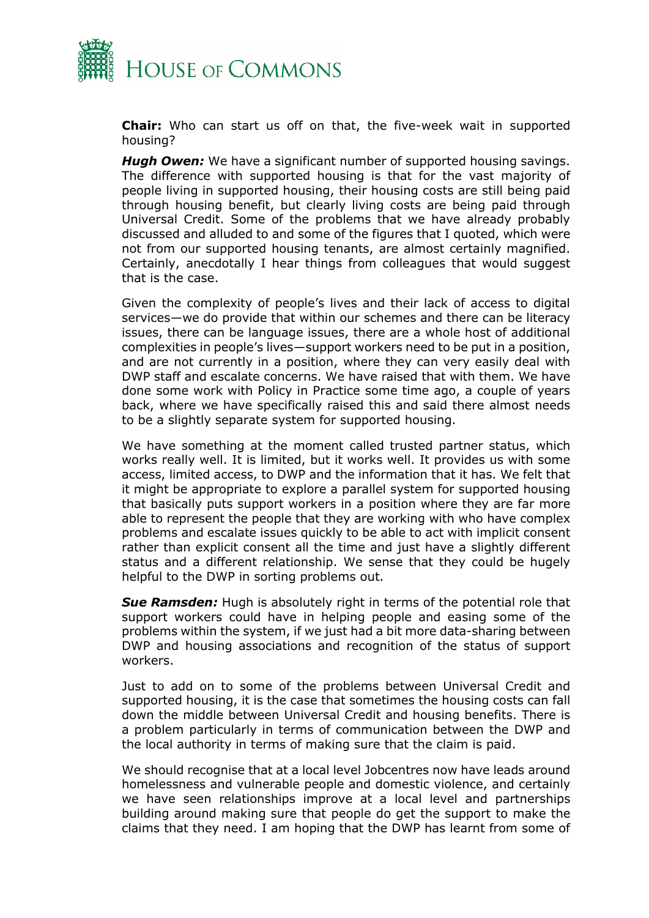

**Chair:** Who can start us off on that, the five-week wait in supported housing?

*Hugh Owen:* We have a significant number of supported housing savings. The difference with supported housing is that for the vast majority of people living in supported housing, their housing costs are still being paid through housing benefit, but clearly living costs are being paid through Universal Credit. Some of the problems that we have already probably discussed and alluded to and some of the figures that I quoted, which were not from our supported housing tenants, are almost certainly magnified. Certainly, anecdotally I hear things from colleagues that would suggest that is the case.

Given the complexity of people's lives and their lack of access to digital services—we do provide that within our schemes and there can be literacy issues, there can be language issues, there are a whole host of additional complexities in people's lives—support workers need to be put in a position, and are not currently in a position, where they can very easily deal with DWP staff and escalate concerns. We have raised that with them. We have done some work with Policy in Practice some time ago, a couple of years back, where we have specifically raised this and said there almost needs to be a slightly separate system for supported housing.

We have something at the moment called trusted partner status, which works really well. It is limited, but it works well. It provides us with some access, limited access, to DWP and the information that it has. We felt that it might be appropriate to explore a parallel system for supported housing that basically puts support workers in a position where they are far more able to represent the people that they are working with who have complex problems and escalate issues quickly to be able to act with implicit consent rather than explicit consent all the time and just have a slightly different status and a different relationship. We sense that they could be hugely helpful to the DWP in sorting problems out.

**Sue Ramsden:** Hugh is absolutely right in terms of the potential role that support workers could have in helping people and easing some of the problems within the system, if we just had a bit more data-sharing between DWP and housing associations and recognition of the status of support workers.

Just to add on to some of the problems between Universal Credit and supported housing, it is the case that sometimes the housing costs can fall down the middle between Universal Credit and housing benefits. There is a problem particularly in terms of communication between the DWP and the local authority in terms of making sure that the claim is paid.

We should recognise that at a local level Jobcentres now have leads around homelessness and vulnerable people and domestic violence, and certainly we have seen relationships improve at a local level and partnerships building around making sure that people do get the support to make the claims that they need. I am hoping that the DWP has learnt from some of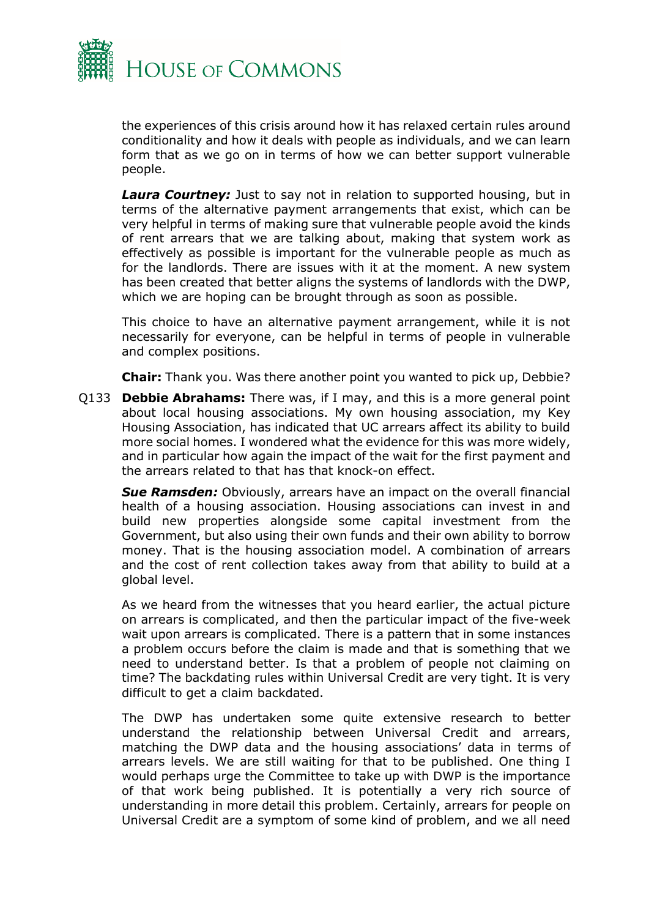

the experiences of this crisis around how it has relaxed certain rules around conditionality and how it deals with people as individuals, and we can learn form that as we go on in terms of how we can better support vulnerable people.

**Laura Courtney:** Just to say not in relation to supported housing, but in terms of the alternative payment arrangements that exist, which can be very helpful in terms of making sure that vulnerable people avoid the kinds of rent arrears that we are talking about, making that system work as effectively as possible is important for the vulnerable people as much as for the landlords. There are issues with it at the moment. A new system has been created that better aligns the systems of landlords with the DWP, which we are hoping can be brought through as soon as possible.

This choice to have an alternative payment arrangement, while it is not necessarily for everyone, can be helpful in terms of people in vulnerable and complex positions.

**Chair:** Thank you. Was there another point you wanted to pick up, Debbie?

Q133 **Debbie Abrahams:** There was, if I may, and this is a more general point about local housing associations. My own housing association, my Key Housing Association, has indicated that UC arrears affect its ability to build more social homes. I wondered what the evidence for this was more widely, and in particular how again the impact of the wait for the first payment and the arrears related to that has that knock-on effect.

**Sue Ramsden:** Obviously, arrears have an impact on the overall financial health of a housing association. Housing associations can invest in and build new properties alongside some capital investment from the Government, but also using their own funds and their own ability to borrow money. That is the housing association model. A combination of arrears and the cost of rent collection takes away from that ability to build at a global level.

As we heard from the witnesses that you heard earlier, the actual picture on arrears is complicated, and then the particular impact of the five-week wait upon arrears is complicated. There is a pattern that in some instances a problem occurs before the claim is made and that is something that we need to understand better. Is that a problem of people not claiming on time? The backdating rules within Universal Credit are very tight. It is very difficult to get a claim backdated.

The DWP has undertaken some quite extensive research to better understand the relationship between Universal Credit and arrears, matching the DWP data and the housing associations' data in terms of arrears levels. We are still waiting for that to be published. One thing I would perhaps urge the Committee to take up with DWP is the importance of that work being published. It is potentially a very rich source of understanding in more detail this problem. Certainly, arrears for people on Universal Credit are a symptom of some kind of problem, and we all need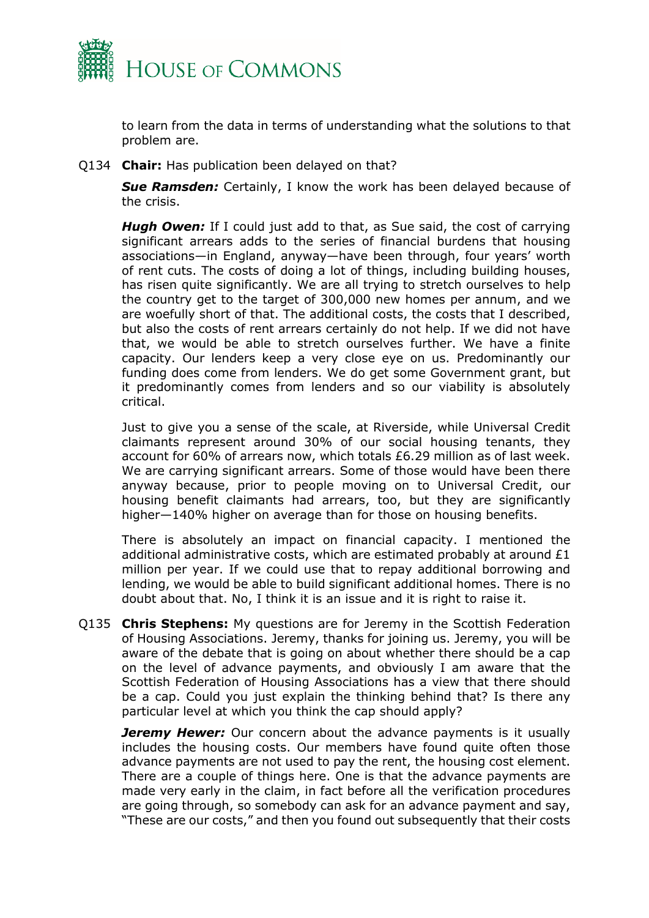

to learn from the data in terms of understanding what the solutions to that problem are.

Q134 **Chair:** Has publication been delayed on that?

*Sue Ramsden:* Certainly, I know the work has been delayed because of the crisis.

**Hugh Owen:** If I could just add to that, as Sue said, the cost of carrying significant arrears adds to the series of financial burdens that housing associations—in England, anyway—have been through, four years' worth of rent cuts. The costs of doing a lot of things, including building houses, has risen quite significantly. We are all trying to stretch ourselves to help the country get to the target of 300,000 new homes per annum, and we are woefully short of that. The additional costs, the costs that I described, but also the costs of rent arrears certainly do not help. If we did not have that, we would be able to stretch ourselves further. We have a finite capacity. Our lenders keep a very close eye on us. Predominantly our funding does come from lenders. We do get some Government grant, but it predominantly comes from lenders and so our viability is absolutely critical.

Just to give you a sense of the scale, at Riverside, while Universal Credit claimants represent around 30% of our social housing tenants, they account for 60% of arrears now, which totals £6.29 million as of last week. We are carrying significant arrears. Some of those would have been there anyway because, prior to people moving on to Universal Credit, our housing benefit claimants had arrears, too, but they are significantly higher–140% higher on average than for those on housing benefits.

There is absolutely an impact on financial capacity. I mentioned the additional administrative costs, which are estimated probably at around  $£1$ million per year. If we could use that to repay additional borrowing and lending, we would be able to build significant additional homes. There is no doubt about that. No, I think it is an issue and it is right to raise it.

Q135 **Chris Stephens:** My questions are for Jeremy in the Scottish Federation of Housing Associations. Jeremy, thanks for joining us. Jeremy, you will be aware of the debate that is going on about whether there should be a cap on the level of advance payments, and obviously I am aware that the Scottish Federation of Housing Associations has a view that there should be a cap. Could you just explain the thinking behind that? Is there any particular level at which you think the cap should apply?

**Jeremy Hewer:** Our concern about the advance payments is it usually includes the housing costs. Our members have found quite often those advance payments are not used to pay the rent, the housing cost element. There are a couple of things here. One is that the advance payments are made very early in the claim, in fact before all the verification procedures are going through, so somebody can ask for an advance payment and say, "These are our costs," and then you found out subsequently that their costs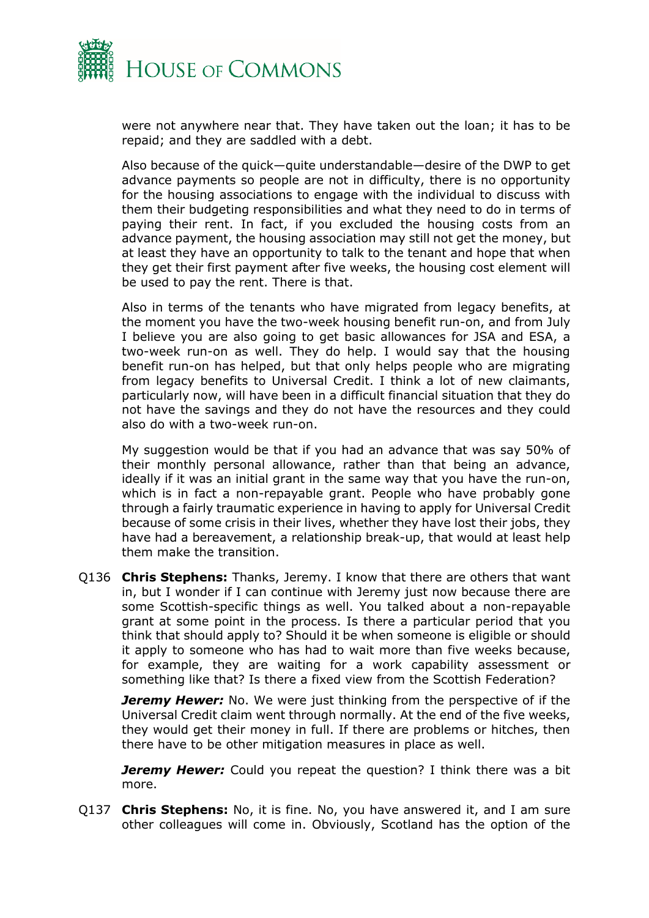

were not anywhere near that. They have taken out the loan; it has to be repaid; and they are saddled with a debt.

Also because of the quick—quite understandable—desire of the DWP to get advance payments so people are not in difficulty, there is no opportunity for the housing associations to engage with the individual to discuss with them their budgeting responsibilities and what they need to do in terms of paying their rent. In fact, if you excluded the housing costs from an advance payment, the housing association may still not get the money, but at least they have an opportunity to talk to the tenant and hope that when they get their first payment after five weeks, the housing cost element will be used to pay the rent. There is that.

Also in terms of the tenants who have migrated from legacy benefits, at the moment you have the two-week housing benefit run-on, and from July I believe you are also going to get basic allowances for JSA and ESA, a two-week run-on as well. They do help. I would say that the housing benefit run-on has helped, but that only helps people who are migrating from legacy benefits to Universal Credit. I think a lot of new claimants, particularly now, will have been in a difficult financial situation that they do not have the savings and they do not have the resources and they could also do with a two-week run-on.

My suggestion would be that if you had an advance that was say 50% of their monthly personal allowance, rather than that being an advance, ideally if it was an initial grant in the same way that you have the run-on, which is in fact a non-repayable grant. People who have probably gone through a fairly traumatic experience in having to apply for Universal Credit because of some crisis in their lives, whether they have lost their jobs, they have had a bereavement, a relationship break-up, that would at least help them make the transition.

Q136 **Chris Stephens:** Thanks, Jeremy. I know that there are others that want in, but I wonder if I can continue with Jeremy just now because there are some Scottish-specific things as well. You talked about a non-repayable grant at some point in the process. Is there a particular period that you think that should apply to? Should it be when someone is eligible or should it apply to someone who has had to wait more than five weeks because, for example, they are waiting for a work capability assessment or something like that? Is there a fixed view from the Scottish Federation?

*Jeremy Hewer:* No. We were just thinking from the perspective of if the Universal Credit claim went through normally. At the end of the five weeks, they would get their money in full. If there are problems or hitches, then there have to be other mitigation measures in place as well.

*Jeremy Hewer:* Could you repeat the question? I think there was a bit more.

Q137 **Chris Stephens:** No, it is fine. No, you have answered it, and I am sure other colleagues will come in. Obviously, Scotland has the option of the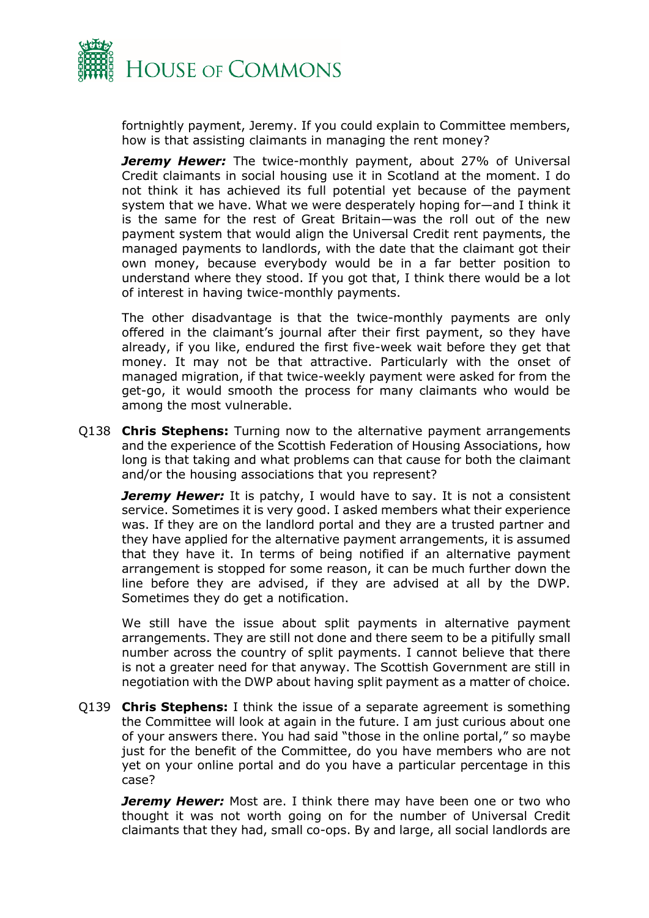

fortnightly payment, Jeremy. If you could explain to Committee members, how is that assisting claimants in managing the rent money?

**Jeremy Hewer:** The twice-monthly payment, about 27% of Universal Credit claimants in social housing use it in Scotland at the moment. I do not think it has achieved its full potential yet because of the payment system that we have. What we were desperately hoping for—and I think it is the same for the rest of Great Britain—was the roll out of the new payment system that would align the Universal Credit rent payments, the managed payments to landlords, with the date that the claimant got their own money, because everybody would be in a far better position to understand where they stood. If you got that, I think there would be a lot of interest in having twice-monthly payments.

The other disadvantage is that the twice-monthly payments are only offered in the claimant's journal after their first payment, so they have already, if you like, endured the first five-week wait before they get that money. It may not be that attractive. Particularly with the onset of managed migration, if that twice-weekly payment were asked for from the get-go, it would smooth the process for many claimants who would be among the most vulnerable.

Q138 **Chris Stephens:** Turning now to the alternative payment arrangements and the experience of the Scottish Federation of Housing Associations, how long is that taking and what problems can that cause for both the claimant and/or the housing associations that you represent?

**Jeremy Hewer:** It is patchy, I would have to say. It is not a consistent service. Sometimes it is very good. I asked members what their experience was. If they are on the landlord portal and they are a trusted partner and they have applied for the alternative payment arrangements, it is assumed that they have it. In terms of being notified if an alternative payment arrangement is stopped for some reason, it can be much further down the line before they are advised, if they are advised at all by the DWP. Sometimes they do get a notification.

We still have the issue about split payments in alternative payment arrangements. They are still not done and there seem to be a pitifully small number across the country of split payments. I cannot believe that there is not a greater need for that anyway. The Scottish Government are still in negotiation with the DWP about having split payment as a matter of choice.

Q139 **Chris Stephens:** I think the issue of a separate agreement is something the Committee will look at again in the future. I am just curious about one of your answers there. You had said "those in the online portal," so maybe just for the benefit of the Committee, do you have members who are not yet on your online portal and do you have a particular percentage in this case?

*Jeremy Hewer:* Most are. I think there may have been one or two who thought it was not worth going on for the number of Universal Credit claimants that they had, small co-ops. By and large, all social landlords are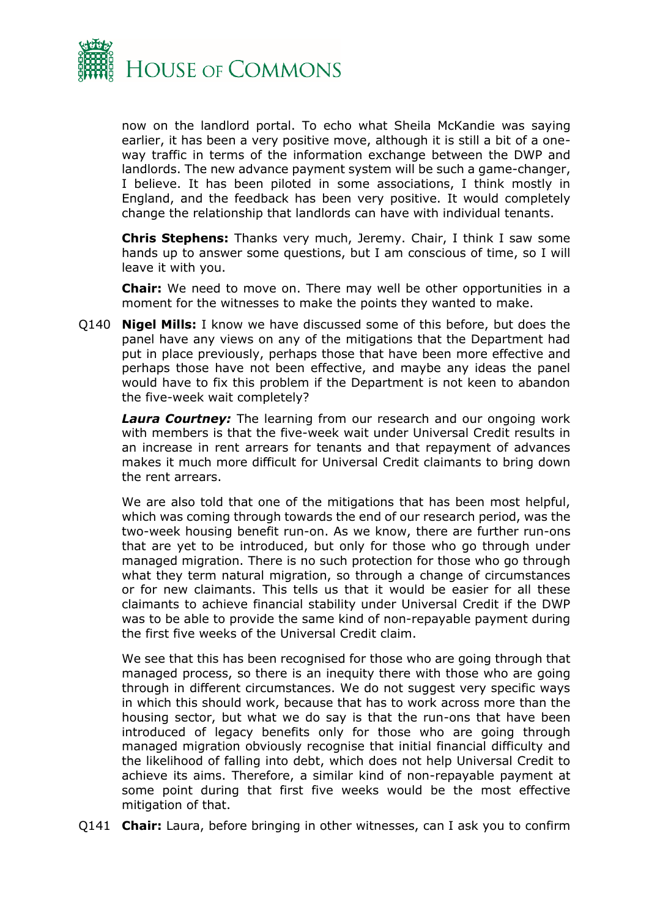

now on the landlord portal. To echo what Sheila McKandie was saying earlier, it has been a very positive move, although it is still a bit of a oneway traffic in terms of the information exchange between the DWP and landlords. The new advance payment system will be such a game-changer, I believe. It has been piloted in some associations, I think mostly in England, and the feedback has been very positive. It would completely change the relationship that landlords can have with individual tenants.

**Chris Stephens:** Thanks very much, Jeremy. Chair, I think I saw some hands up to answer some questions, but I am conscious of time, so I will leave it with you.

**Chair:** We need to move on. There may well be other opportunities in a moment for the witnesses to make the points they wanted to make.

Q140 **Nigel Mills:** I know we have discussed some of this before, but does the panel have any views on any of the mitigations that the Department had put in place previously, perhaps those that have been more effective and perhaps those have not been effective, and maybe any ideas the panel would have to fix this problem if the Department is not keen to abandon the five-week wait completely?

**Laura Courtney:** The learning from our research and our ongoing work with members is that the five-week wait under Universal Credit results in an increase in rent arrears for tenants and that repayment of advances makes it much more difficult for Universal Credit claimants to bring down the rent arrears.

We are also told that one of the mitigations that has been most helpful, which was coming through towards the end of our research period, was the two-week housing benefit run-on. As we know, there are further run-ons that are yet to be introduced, but only for those who go through under managed migration. There is no such protection for those who go through what they term natural migration, so through a change of circumstances or for new claimants. This tells us that it would be easier for all these claimants to achieve financial stability under Universal Credit if the DWP was to be able to provide the same kind of non-repayable payment during the first five weeks of the Universal Credit claim.

We see that this has been recognised for those who are going through that managed process, so there is an inequity there with those who are going through in different circumstances. We do not suggest very specific ways in which this should work, because that has to work across more than the housing sector, but what we do say is that the run-ons that have been introduced of legacy benefits only for those who are going through managed migration obviously recognise that initial financial difficulty and the likelihood of falling into debt, which does not help Universal Credit to achieve its aims. Therefore, a similar kind of non-repayable payment at some point during that first five weeks would be the most effective mitigation of that.

Q141 **Chair:** Laura, before bringing in other witnesses, can I ask you to confirm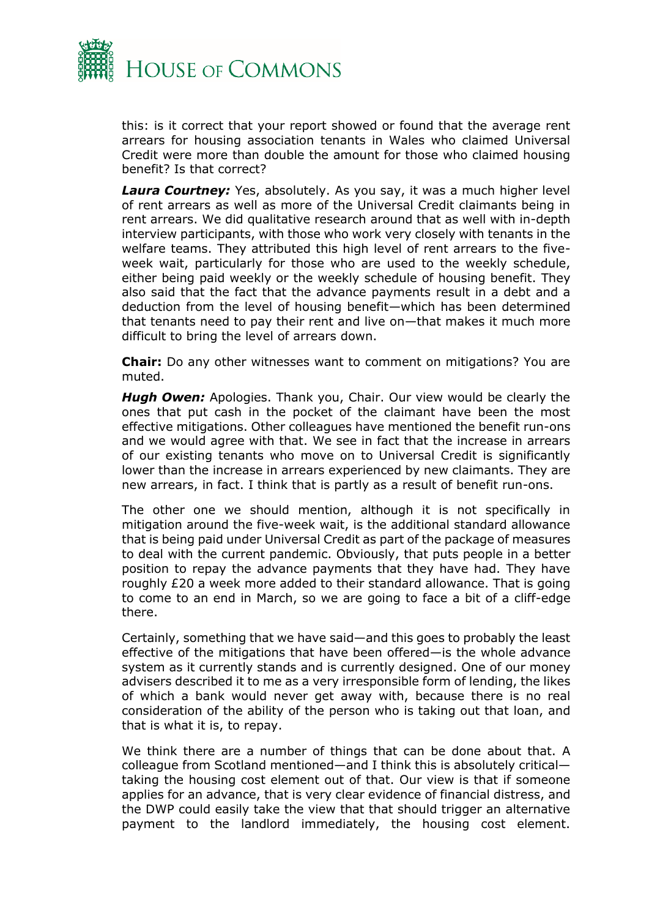

this: is it correct that your report showed or found that the average rent arrears for housing association tenants in Wales who claimed Universal Credit were more than double the amount for those who claimed housing benefit? Is that correct?

*Laura Courtney:* Yes, absolutely. As you say, it was a much higher level of rent arrears as well as more of the Universal Credit claimants being in rent arrears. We did qualitative research around that as well with in-depth interview participants, with those who work very closely with tenants in the welfare teams. They attributed this high level of rent arrears to the fiveweek wait, particularly for those who are used to the weekly schedule, either being paid weekly or the weekly schedule of housing benefit. They also said that the fact that the advance payments result in a debt and a deduction from the level of housing benefit—which has been determined that tenants need to pay their rent and live on—that makes it much more difficult to bring the level of arrears down.

**Chair:** Do any other witnesses want to comment on mitigations? You are muted.

*Hugh Owen:* Apologies. Thank you, Chair. Our view would be clearly the ones that put cash in the pocket of the claimant have been the most effective mitigations. Other colleagues have mentioned the benefit run-ons and we would agree with that. We see in fact that the increase in arrears of our existing tenants who move on to Universal Credit is significantly lower than the increase in arrears experienced by new claimants. They are new arrears, in fact. I think that is partly as a result of benefit run-ons.

The other one we should mention, although it is not specifically in mitigation around the five-week wait, is the additional standard allowance that is being paid under Universal Credit as part of the package of measures to deal with the current pandemic. Obviously, that puts people in a better position to repay the advance payments that they have had. They have roughly £20 a week more added to their standard allowance. That is going to come to an end in March, so we are going to face a bit of a cliff-edge there.

Certainly, something that we have said—and this goes to probably the least effective of the mitigations that have been offered—is the whole advance system as it currently stands and is currently designed. One of our money advisers described it to me as a very irresponsible form of lending, the likes of which a bank would never get away with, because there is no real consideration of the ability of the person who is taking out that loan, and that is what it is, to repay.

We think there are a number of things that can be done about that. A colleague from Scotland mentioned—and I think this is absolutely critical taking the housing cost element out of that. Our view is that if someone applies for an advance, that is very clear evidence of financial distress, and the DWP could easily take the view that that should trigger an alternative payment to the landlord immediately, the housing cost element.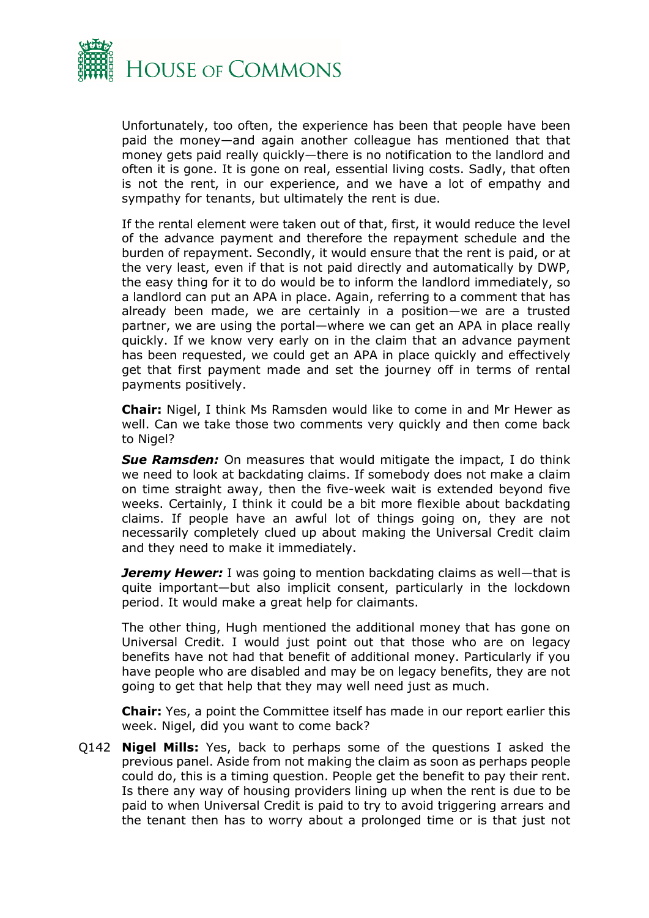

Unfortunately, too often, the experience has been that people have been paid the money—and again another colleague has mentioned that that money gets paid really quickly—there is no notification to the landlord and often it is gone. It is gone on real, essential living costs. Sadly, that often is not the rent, in our experience, and we have a lot of empathy and sympathy for tenants, but ultimately the rent is due.

If the rental element were taken out of that, first, it would reduce the level of the advance payment and therefore the repayment schedule and the burden of repayment. Secondly, it would ensure that the rent is paid, or at the very least, even if that is not paid directly and automatically by DWP, the easy thing for it to do would be to inform the landlord immediately, so a landlord can put an APA in place. Again, referring to a comment that has already been made, we are certainly in a position—we are a trusted partner, we are using the portal—where we can get an APA in place really quickly. If we know very early on in the claim that an advance payment has been requested, we could get an APA in place quickly and effectively get that first payment made and set the journey off in terms of rental payments positively.

**Chair:** Nigel, I think Ms Ramsden would like to come in and Mr Hewer as well. Can we take those two comments very quickly and then come back to Nigel?

*Sue Ramsden:* On measures that would mitigate the impact, I do think we need to look at backdating claims. If somebody does not make a claim on time straight away, then the five-week wait is extended beyond five weeks. Certainly, I think it could be a bit more flexible about backdating claims. If people have an awful lot of things going on, they are not necessarily completely clued up about making the Universal Credit claim and they need to make it immediately.

*Jeremy Hewer:* I was going to mention backdating claims as well—that is quite important—but also implicit consent, particularly in the lockdown period. It would make a great help for claimants.

The other thing, Hugh mentioned the additional money that has gone on Universal Credit. I would just point out that those who are on legacy benefits have not had that benefit of additional money. Particularly if you have people who are disabled and may be on legacy benefits, they are not going to get that help that they may well need just as much.

**Chair:** Yes, a point the Committee itself has made in our report earlier this week. Nigel, did you want to come back?

Q142 **Nigel Mills:** Yes, back to perhaps some of the questions I asked the previous panel. Aside from not making the claim as soon as perhaps people could do, this is a timing question. People get the benefit to pay their rent. Is there any way of housing providers lining up when the rent is due to be paid to when Universal Credit is paid to try to avoid triggering arrears and the tenant then has to worry about a prolonged time or is that just not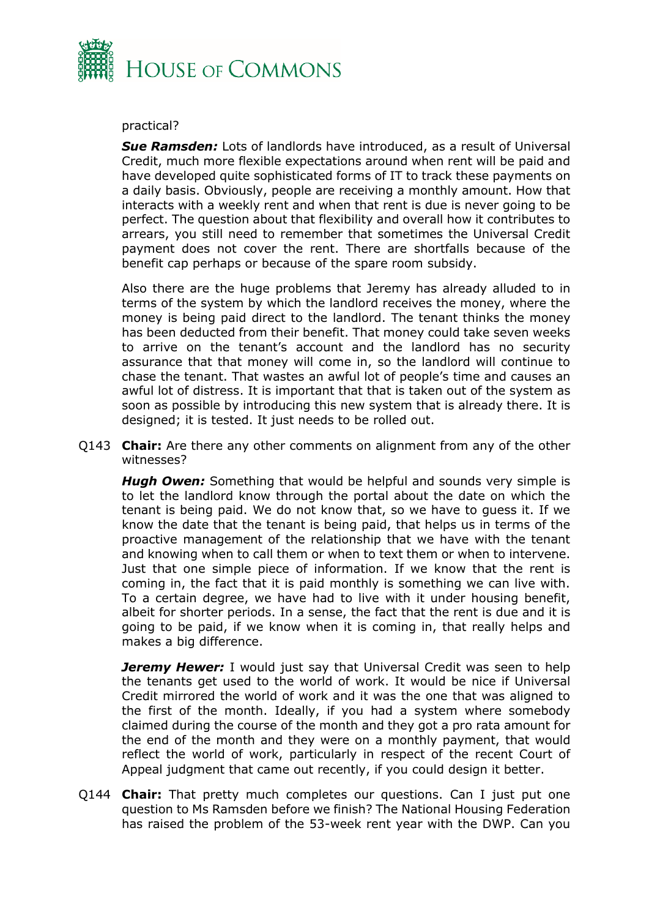

#### practical?

*Sue Ramsden:* Lots of landlords have introduced, as a result of Universal Credit, much more flexible expectations around when rent will be paid and have developed quite sophisticated forms of IT to track these payments on a daily basis. Obviously, people are receiving a monthly amount. How that interacts with a weekly rent and when that rent is due is never going to be perfect. The question about that flexibility and overall how it contributes to arrears, you still need to remember that sometimes the Universal Credit payment does not cover the rent. There are shortfalls because of the benefit cap perhaps or because of the spare room subsidy.

Also there are the huge problems that Jeremy has already alluded to in terms of the system by which the landlord receives the money, where the money is being paid direct to the landlord. The tenant thinks the money has been deducted from their benefit. That money could take seven weeks to arrive on the tenant's account and the landlord has no security assurance that that money will come in, so the landlord will continue to chase the tenant. That wastes an awful lot of people's time and causes an awful lot of distress. It is important that that is taken out of the system as soon as possible by introducing this new system that is already there. It is designed; it is tested. It just needs to be rolled out.

Q143 **Chair:** Are there any other comments on alignment from any of the other witnesses?

**Hugh Owen:** Something that would be helpful and sounds very simple is to let the landlord know through the portal about the date on which the tenant is being paid. We do not know that, so we have to guess it. If we know the date that the tenant is being paid, that helps us in terms of the proactive management of the relationship that we have with the tenant and knowing when to call them or when to text them or when to intervene. Just that one simple piece of information. If we know that the rent is coming in, the fact that it is paid monthly is something we can live with. To a certain degree, we have had to live with it under housing benefit, albeit for shorter periods. In a sense, the fact that the rent is due and it is going to be paid, if we know when it is coming in, that really helps and makes a big difference.

**Jeremy Hewer:** I would just say that Universal Credit was seen to help the tenants get used to the world of work. It would be nice if Universal Credit mirrored the world of work and it was the one that was aligned to the first of the month. Ideally, if you had a system where somebody claimed during the course of the month and they got a pro rata amount for the end of the month and they were on a monthly payment, that would reflect the world of work, particularly in respect of the recent Court of Appeal judgment that came out recently, if you could design it better.

Q144 **Chair:** That pretty much completes our questions. Can I just put one question to Ms Ramsden before we finish? The National Housing Federation has raised the problem of the 53-week rent year with the DWP. Can you